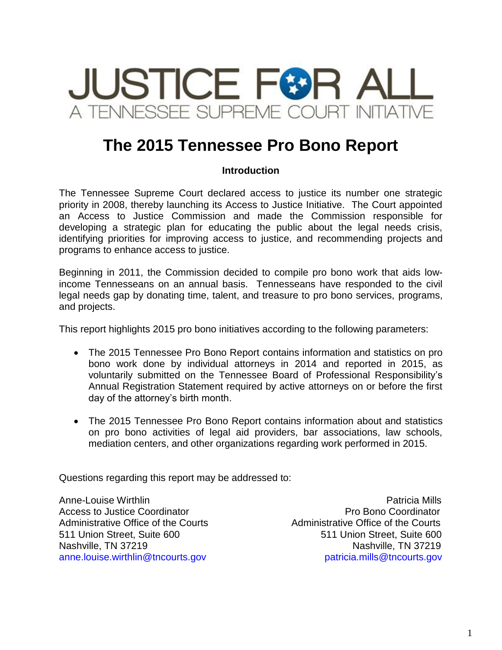

# **The 2015 Tennessee Pro Bono Report**

## **Introduction**

The Tennessee Supreme Court declared access to justice its number one strategic priority in 2008, thereby launching its Access to Justice Initiative. The Court appointed an Access to Justice Commission and made the Commission responsible for developing a strategic plan for educating the public about the legal needs crisis, identifying priorities for improving access to justice, and recommending projects and programs to enhance access to justice.

Beginning in 2011, the Commission decided to compile pro bono work that aids lowincome Tennesseans on an annual basis. Tennesseans have responded to the civil legal needs gap by donating time, talent, and treasure to pro bono services, programs, and projects.

This report highlights 2015 pro bono initiatives according to the following parameters:

- The 2015 Tennessee Pro Bono Report contains information and statistics on pro bono work done by individual attorneys in 2014 and reported in 2015, as voluntarily submitted on the Tennessee Board of Professional Responsibility's Annual Registration Statement required by active attorneys on or before the first day of the attorney's birth month.
- The 2015 Tennessee Pro Bono Report contains information about and statistics on pro bono activities of legal aid providers, bar associations, law schools, mediation centers, and other organizations regarding work performed in 2015.

Questions regarding this report may be addressed to:

Access to Justice Coordinator **Pro Bono Coordinator** Pro Bono Coordinator Administrative Office of the Courts **Administrative Office of the Courts** 

Anne-Louise Wirthlin Patricia Mills 511 Union Street, Suite 600 511 Union Street, Suite 600 Nashville, TN 37219 Nashville, TN 37219 anne.louise.wirthlin@tncourts.gov patricia.mills@tncourts.gov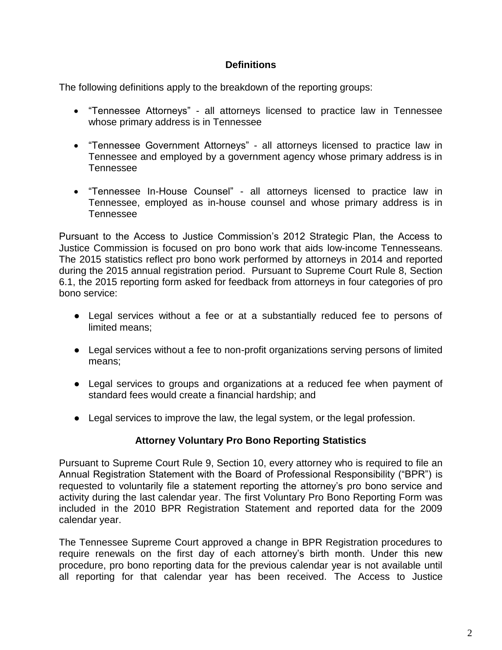## **Definitions**

The following definitions apply to the breakdown of the reporting groups:

- "Tennessee Attorneys" all attorneys licensed to practice law in Tennessee whose primary address is in Tennessee
- "Tennessee Government Attorneys" all attorneys licensed to practice law in Tennessee and employed by a government agency whose primary address is in Tennessee
- "Tennessee In-House Counsel" all attorneys licensed to practice law in Tennessee, employed as in-house counsel and whose primary address is in Tennessee

Pursuant to the Access to Justice Commission's 2012 Strategic Plan, the Access to Justice Commission is focused on pro bono work that aids low-income Tennesseans. The 2015 statistics reflect pro bono work performed by attorneys in 2014 and reported during the 2015 annual registration period. Pursuant to Supreme Court Rule 8, Section 6.1, the 2015 reporting form asked for feedback from attorneys in four categories of pro bono service:

- Legal services without a fee or at a substantially reduced fee to persons of limited means;
- Legal services without a fee to non-profit organizations serving persons of limited means;
- Legal services to groups and organizations at a reduced fee when payment of standard fees would create a financial hardship; and
- Legal services to improve the law, the legal system, or the legal profession.

## **Attorney Voluntary Pro Bono Reporting Statistics**

Pursuant to Supreme Court Rule 9, Section 10, every attorney who is required to file an Annual Registration Statement with the Board of Professional Responsibility ("BPR") is requested to voluntarily file a statement reporting the attorney's pro bono service and activity during the last calendar year. The first Voluntary Pro Bono Reporting Form was included in the 2010 BPR Registration Statement and reported data for the 2009 calendar year.

The Tennessee Supreme Court approved a change in BPR Registration procedures to require renewals on the first day of each attorney's birth month. Under this new procedure, pro bono reporting data for the previous calendar year is not available until all reporting for that calendar year has been received. The Access to Justice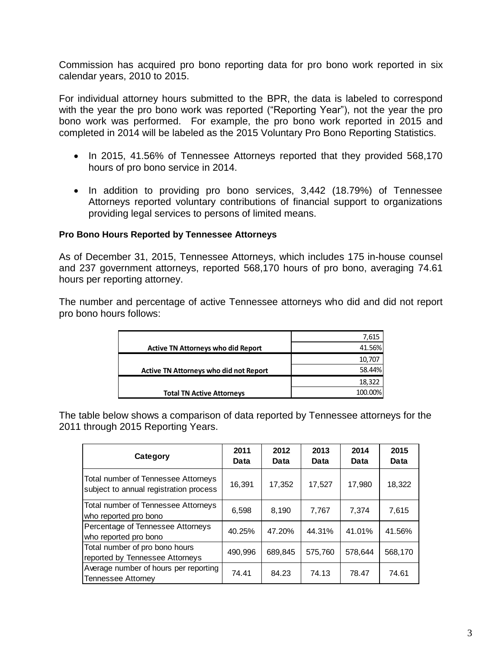Commission has acquired pro bono reporting data for pro bono work reported in six calendar years, 2010 to 2015.

For individual attorney hours submitted to the BPR, the data is labeled to correspond with the year the pro bono work was reported ("Reporting Year"), not the year the pro bono work was performed. For example, the pro bono work reported in 2015 and completed in 2014 will be labeled as the 2015 Voluntary Pro Bono Reporting Statistics.

- In 2015, 41.56% of Tennessee Attorneys reported that they provided 568,170 hours of pro bono service in 2014.
- In addition to providing pro bono services, 3,442 (18.79%) of Tennessee Attorneys reported voluntary contributions of financial support to organizations providing legal services to persons of limited means.

### **Pro Bono Hours Reported by Tennessee Attorneys**

As of December 31, 2015, Tennessee Attorneys, which includes 175 in-house counsel and 237 government attorneys, reported 568,170 hours of pro bono, averaging 74.61 hours per reporting attorney.

The number and percentage of active Tennessee attorneys who did and did not report pro bono hours follows:

|                                               | 7,615   |
|-----------------------------------------------|---------|
| <b>Active TN Attorneys who did Report</b>     | 41.56%  |
|                                               | 10,707  |
| <b>Active TN Attorneys who did not Report</b> | 58.44%  |
|                                               | 18,322  |
| <b>Total TN Active Attorneys</b>              | 100.00% |

The table below shows a comparison of data reported by Tennessee attorneys for the 2011 through 2015 Reporting Years.

| Category                                                                      | 2011<br>Data | 2012<br>Data | 2013<br>Data | 2014<br>Data | 2015<br>Data |
|-------------------------------------------------------------------------------|--------------|--------------|--------------|--------------|--------------|
| Total number of Tennessee Attorneys<br>subject to annual registration process | 16,391       | 17,352       | 17,527       | 17,980       | 18,322       |
| Total number of Tennessee Attorneys<br>who reported pro bono                  | 6,598        | 8,190        | 7,767        | 7.374        | 7,615        |
| Percentage of Tennessee Attorneys<br>who reported pro bono                    | 40.25%       | 47.20%       | 44.31%       | 41.01%       | 41.56%       |
| Total number of pro bono hours<br>reported by Tennessee Attorneys             | 490.996      | 689,845      | 575,760      | 578,644      | 568,170      |
| Average number of hours per reporting<br><b>Tennessee Attorney</b>            | 74.41        | 84.23        | 74.13        | 78.47        | 74.61        |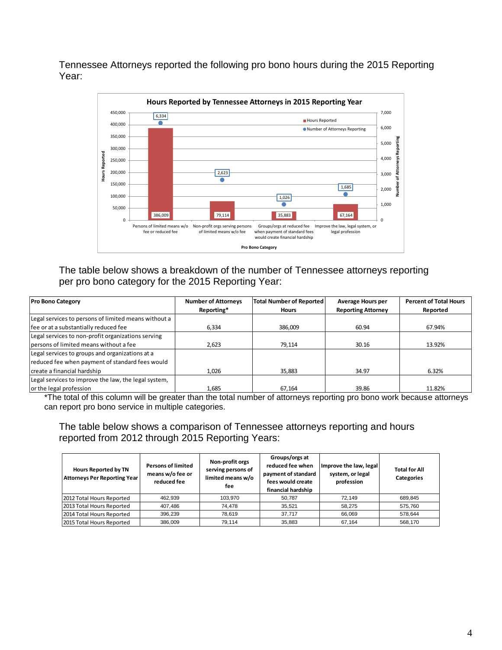Tennessee Attorneys reported the following pro bono hours during the 2015 Reporting Year:



The table below shows a breakdown of the number of Tennessee attorneys reporting per pro bono category for the 2015 Reporting Year:

| <b>Pro Bono Category</b>                             | <b>Number of Attorneys</b> | <b>Total Number of Reported</b> | Average Hours per         | <b>Percent of Total Hours</b> |  |
|------------------------------------------------------|----------------------------|---------------------------------|---------------------------|-------------------------------|--|
|                                                      | Reporting*                 | <b>Hours</b>                    | <b>Reporting Attorney</b> | Reported                      |  |
| Legal services to persons of limited means without a |                            |                                 |                           |                               |  |
| fee or at a substantially reduced fee                | 6,334                      | 386,009                         | 60.94                     | 67.94%                        |  |
| Legal services to non-profit organizations serving   |                            |                                 |                           |                               |  |
| persons of limited means without a fee               | 2.623                      | 79.114                          | 30.16                     | 13.92%                        |  |
| Legal services to groups and organizations at a      |                            |                                 |                           |                               |  |
| reduced fee when payment of standard fees would      |                            |                                 |                           |                               |  |
| create a financial hardship                          | 1,026                      | 35,883                          | 34.97                     | 6.32%                         |  |
| Legal services to improve the law, the legal system, |                            |                                 |                           |                               |  |
| or the legal profession                              | 1.685                      | 67.164                          | 39.86                     | 11.82%                        |  |

\*The total of this column will be greater than the total number of attorneys reporting pro bono work because attorneys can report pro bono service in multiple categories.

The table below shows a comparison of Tennessee attorneys reporting and hours reported from 2012 through 2015 Reporting Years:

| <b>Hours Reported by TN</b><br><b>Attorneys Per Reporting Year</b> | <b>Persons of limited</b><br>means w/o fee or<br>reduced fee | Non-profit orgs<br>serving persons of<br>limited means w/o<br>fee | Groups/orgs at<br>reduced fee when<br>payment of standard<br>fees would create<br>financial hardship | Improve the law, legal<br>system, or legal<br>profession | <b>Total for All</b><br><b>Categories</b> |
|--------------------------------------------------------------------|--------------------------------------------------------------|-------------------------------------------------------------------|------------------------------------------------------------------------------------------------------|----------------------------------------------------------|-------------------------------------------|
| 2012 Total Hours Reported                                          | 462.939                                                      | 103.970                                                           | 50.787                                                                                               | 72.149                                                   | 689,845                                   |
| 2013 Total Hours Reported                                          | 407.486                                                      | 74.478                                                            | 35.521                                                                                               | 58.275                                                   | 575.760                                   |
| 2014 Total Hours Reported                                          | 396.239                                                      | 78.619                                                            | 37.717                                                                                               | 66.069                                                   | 578.644                                   |
| 2015 Total Hours Reported                                          | 386,009                                                      | 79.114                                                            | 35.883                                                                                               | 67.164                                                   | 568.170                                   |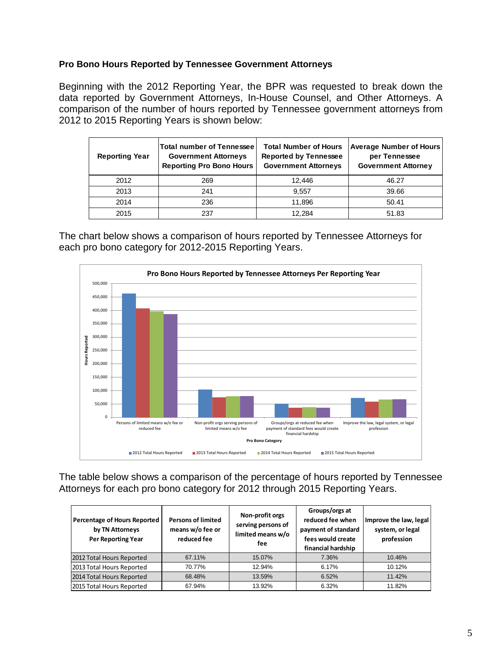### **Pro Bono Hours Reported by Tennessee Government Attorneys**

Beginning with the 2012 Reporting Year, the BPR was requested to break down the data reported by Government Attorneys, In-House Counsel, and Other Attorneys. A comparison of the number of hours reported by Tennessee government attorneys from 2012 to 2015 Reporting Years is shown below:

| <b>Reporting Year</b> | <b>Total number of Tennessee</b><br><b>Government Attorneys</b><br><b>Reporting Pro Bono Hours</b> | <b>Total Number of Hours</b><br><b>Reported by Tennessee</b><br><b>Government Attorneys</b> | <b>Average Number of Hours</b><br>per Tennessee<br><b>Government Attorney</b> |
|-----------------------|----------------------------------------------------------------------------------------------------|---------------------------------------------------------------------------------------------|-------------------------------------------------------------------------------|
| 2012                  | 269                                                                                                | 12.446                                                                                      | 46.27                                                                         |
| 2013                  | 241                                                                                                | 9.557                                                                                       | 39.66                                                                         |
| 2014                  | 236                                                                                                | 11,896                                                                                      | 50.41                                                                         |
| 2015                  | 237                                                                                                | 12.284                                                                                      | 51.83                                                                         |

The chart below shows a comparison of hours reported by Tennessee Attorneys for each pro bono category for 2012-2015 Reporting Years.



The table below shows a comparison of the percentage of hours reported by Tennessee Attorneys for each pro bono category for 2012 through 2015 Reporting Years.

| Percentage of Hours Reported<br>by TN Attorneys<br><b>Per Reporting Year</b> | <b>Persons of limited</b><br>means w/o fee or<br>reduced fee | Non-profit orgs<br>serving persons of<br>limited means w/o<br>fee | Groups/orgs at<br>reduced fee when<br>payment of standard<br>fees would create<br>financial hardship | Improve the law, legal<br>system, or legal<br>profession |
|------------------------------------------------------------------------------|--------------------------------------------------------------|-------------------------------------------------------------------|------------------------------------------------------------------------------------------------------|----------------------------------------------------------|
| 2012 Total Hours Reported                                                    | 67.11%                                                       | 15.07%                                                            | 7.36%                                                                                                | 10.46%                                                   |
| 2013 Total Hours Reported                                                    | 70.77%                                                       | 12.94%                                                            | 6.17%                                                                                                | 10.12%                                                   |
| 2014 Total Hours Reported                                                    | 68.48%                                                       | 13.59%                                                            | 6.52%                                                                                                | 11.42%                                                   |
| 2015 Total Hours Reported                                                    | 67.94%                                                       | 13.92%                                                            | 6.32%                                                                                                | 11.82%                                                   |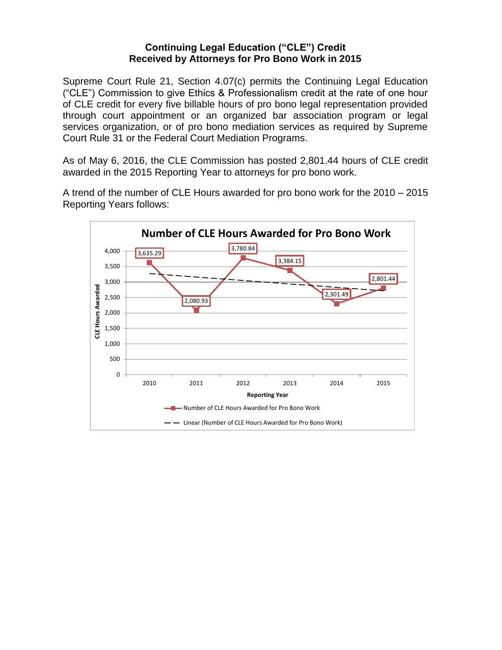### **Continuing Legal Education ("CLE") Credit Received by Attorneys for Pro Bono Work in 2015**

Supreme Court Rule 21, Section 4.07(c) permits the Continuing Legal Education ("CLE") Commission to give Ethics & Professionalism credit at the rate of one hour of CLE credit for every five billable hours of pro bono legal representation provided through court appointment or an organized bar association program or legal services organization, or of pro bono mediation services as required by Supreme Court Rule 31 or the Federal Court Mediation Programs.

As of May 6, 2016, the CLE Commission has posted 2,801.44 hours of CLE credit awarded in the 2015 Reporting Year to attorneys for pro bono work.

A trend of the number of CLE Hours awarded for pro bono work for the 2010 – 2015 Reporting Years follows:

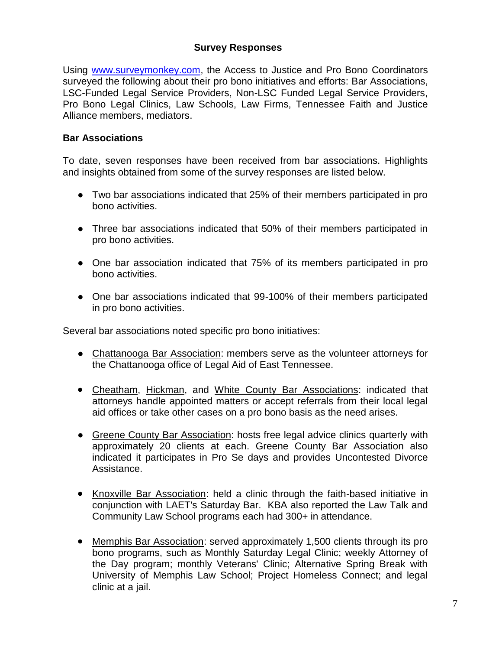## **Survey Responses**

Using [www.surveymonkey.com,](http://www.surveymonkey.com/) the Access to Justice and Pro Bono Coordinators surveyed the following about their pro bono initiatives and efforts: Bar Associations, LSC-Funded Legal Service Providers, Non-LSC Funded Legal Service Providers, Pro Bono Legal Clinics, Law Schools, Law Firms, Tennessee Faith and Justice Alliance members, mediators.

### **Bar Associations**

To date, seven responses have been received from bar associations. Highlights and insights obtained from some of the survey responses are listed below.

- Two bar associations indicated that 25% of their members participated in pro bono activities.
- Three bar associations indicated that 50% of their members participated in pro bono activities.
- One bar association indicated that 75% of its members participated in pro bono activities.
- One bar associations indicated that 99-100% of their members participated in pro bono activities.

Several bar associations noted specific pro bono initiatives:

- Chattanooga Bar Association: members serve as the volunteer attorneys for the Chattanooga office of Legal Aid of East Tennessee.
- Cheatham, Hickman, and White County Bar Associations: indicated that attorneys handle appointed matters or accept referrals from their local legal aid offices or take other cases on a pro bono basis as the need arises.
- Greene County Bar Association: hosts free legal advice clinics quarterly with approximately 20 clients at each. Greene County Bar Association also indicated it participates in Pro Se days and provides Uncontested Divorce Assistance.
- Knoxville Bar Association: held a clinic through the faith-based initiative in conjunction with LAET's Saturday Bar. KBA also reported the Law Talk and Community Law School programs each had 300+ in attendance.
- Memphis Bar Association: served approximately 1,500 clients through its pro bono programs, such as Monthly Saturday Legal Clinic; weekly Attorney of the Day program; monthly Veterans' Clinic; Alternative Spring Break with University of Memphis Law School; Project Homeless Connect; and legal clinic at a jail.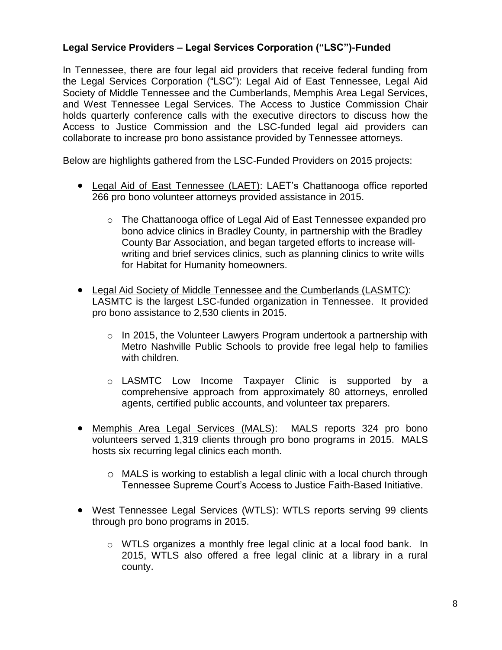## **Legal Service Providers – Legal Services Corporation ("LSC")-Funded**

In Tennessee, there are four legal aid providers that receive federal funding from the Legal Services Corporation ("LSC"): Legal Aid of East Tennessee, Legal Aid Society of Middle Tennessee and the Cumberlands, Memphis Area Legal Services, and West Tennessee Legal Services. The Access to Justice Commission Chair holds quarterly conference calls with the executive directors to discuss how the Access to Justice Commission and the LSC-funded legal aid providers can collaborate to increase pro bono assistance provided by Tennessee attorneys.

Below are highlights gathered from the LSC-Funded Providers on 2015 projects:

- Legal Aid of East Tennessee (LAET): LAET's Chattanooga office reported 266 pro bono volunteer attorneys provided assistance in 2015.
	- o The Chattanooga office of Legal Aid of East Tennessee expanded pro bono advice clinics in Bradley County, in partnership with the Bradley County Bar Association, and began targeted efforts to increase willwriting and brief services clinics, such as planning clinics to write wills for Habitat for Humanity homeowners.
- Legal Aid Society of Middle Tennessee and the Cumberlands (LASMTC): LASMTC is the largest LSC-funded organization in Tennessee. It provided pro bono assistance to 2,530 clients in 2015.
	- $\circ$  In 2015, the Volunteer Lawyers Program undertook a partnership with Metro Nashville Public Schools to provide free legal help to families with children.
	- o LASMTC Low Income Taxpayer Clinic is supported by a comprehensive approach from approximately 80 attorneys, enrolled agents, certified public accounts, and volunteer tax preparers.
- Memphis Area Legal Services (MALS): MALS reports 324 pro bono volunteers served 1,319 clients through pro bono programs in 2015. MALS hosts six recurring legal clinics each month.
	- o MALS is working to establish a legal clinic with a local church through Tennessee Supreme Court's Access to Justice Faith-Based Initiative.
- West Tennessee Legal Services (WTLS): WTLS reports serving 99 clients through pro bono programs in 2015.
	- $\circ$  WTLS organizes a monthly free legal clinic at a local food bank. In 2015, WTLS also offered a free legal clinic at a library in a rural county.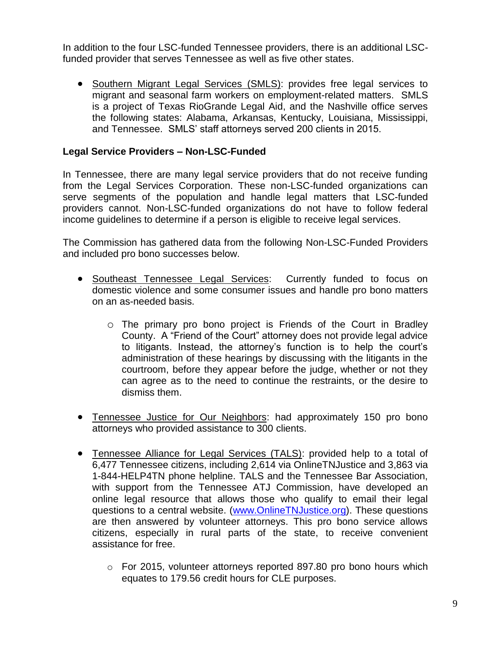In addition to the four LSC-funded Tennessee providers, there is an additional LSCfunded provider that serves Tennessee as well as five other states.

 Southern Migrant Legal Services (SMLS): provides free legal services to migrant and seasonal farm workers on employment-related matters. SMLS is a project of Texas RioGrande Legal Aid, and the Nashville office serves the following states: Alabama, Arkansas, Kentucky, Louisiana, Mississippi, and Tennessee. SMLS' staff attorneys served 200 clients in 2015.

## **Legal Service Providers – Non-LSC-Funded**

In Tennessee, there are many legal service providers that do not receive funding from the Legal Services Corporation. These non-LSC-funded organizations can serve segments of the population and handle legal matters that LSC-funded providers cannot. Non-LSC-funded organizations do not have to follow federal income guidelines to determine if a person is eligible to receive legal services.

The Commission has gathered data from the following Non-LSC-Funded Providers and included pro bono successes below.

- Southeast Tennessee Legal Services: Currently funded to focus on domestic violence and some consumer issues and handle pro bono matters on an as-needed basis.
	- o The primary pro bono project is Friends of the Court in Bradley County. A "Friend of the Court" attorney does not provide legal advice to litigants. Instead, the attorney's function is to help the court's administration of these hearings by discussing with the litigants in the courtroom, before they appear before the judge, whether or not they can agree as to the need to continue the restraints, or the desire to dismiss them.
- Tennessee Justice for Our Neighbors: had approximately 150 pro bono attorneys who provided assistance to 300 clients.
- Tennessee Alliance for Legal Services (TALS): provided help to a total of 6,477 Tennessee citizens, including 2,614 via OnlineTNJustice and 3,863 via 1-844-HELP4TN phone helpline. TALS and the Tennessee Bar Association, with support from the Tennessee ATJ Commission, have developed an online legal resource that allows those who qualify to email their legal questions to a central website. [\(www.OnlineTNJustice.org\)](http://www.onlinetnjustice.org)/). These questions are then answered by volunteer attorneys. This pro bono service allows citizens, especially in rural parts of the state, to receive convenient assistance for free.
	- o For 2015, volunteer attorneys reported 897.80 pro bono hours which equates to 179.56 credit hours for CLE purposes.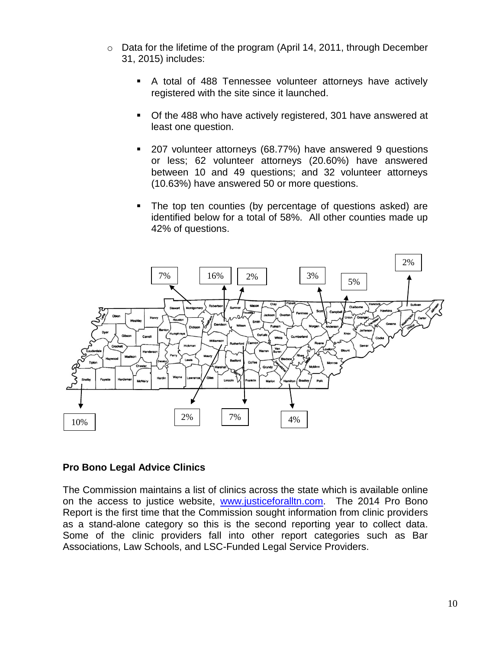- o Data for the lifetime of the program (April 14, 2011, through December 31, 2015) includes:
	- A total of 488 Tennessee volunteer attorneys have actively registered with the site since it launched.
	- Of the 488 who have actively registered, 301 have answered at least one question.
	- 207 volunteer attorneys (68.77%) have answered 9 questions or less; 62 volunteer attorneys (20.60%) have answered between 10 and 49 questions; and 32 volunteer attorneys (10.63%) have answered 50 or more questions.
	- The top ten counties (by percentage of questions asked) are identified below for a total of 58%. All other counties made up 42% of questions.



### **Pro Bono Legal Advice Clinics**

The Commission maintains a list of clinics across the state which is available online on the access to justice website, [www.justiceforalltn.com.](http://www.justiceforalltn.com/) The 2014 Pro Bono Report is the first time that the Commission sought information from clinic providers as a stand-alone category so this is the second reporting year to collect data. Some of the clinic providers fall into other report categories such as Bar Associations, Law Schools, and LSC-Funded Legal Service Providers.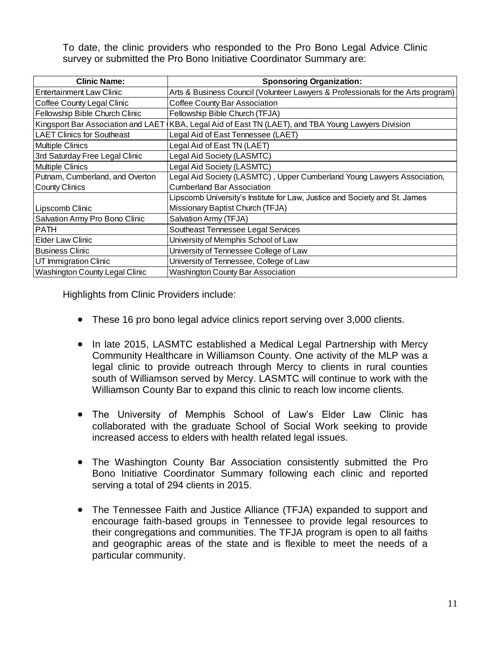To date, the clinic providers who responded to the Pro Bono Legal Advice Clinic survey or submitted the Pro Bono Initiative Coordinator Summary are:

| <b>Clinic Name:</b>               | <b>Sponsoring Organization:</b>                                                                      |
|-----------------------------------|------------------------------------------------------------------------------------------------------|
| <b>Entertainment Law Clinic</b>   | Arts & Business Council (Volunteer Lawyers & Professionals for the Arts program)                     |
| Coffee County Legal Clinic        | Coffee County Bar Association                                                                        |
| Fellowship Bible Church Clinic    | Fellowship Bible Church (TFJA)                                                                       |
|                                   | Kingsport Bar Association and LAET (KBA, Legal Aid of East TN (LAET), and TBA Young Lawyers Division |
| <b>LAET Clinics for Southeast</b> | Legal Aid of East Tennessee (LAET)                                                                   |
| <b>Multiple Clinics</b>           | Legal Aid of East TN (LAET)                                                                          |
| 3rd Saturday Free Legal Clinic    | Legal Aid Society (LASMTC)                                                                           |
| <b>Multiple Clinics</b>           | Legal Aid Society (LASMTC)                                                                           |
| Putnam, Cumberland, and Overton   | Legal Aid Society (LASMTC), Upper Cumberland Young Lawyers Association,                              |
| <b>County Clinics</b>             | <b>Cumberland Bar Association</b>                                                                    |
|                                   | Lipscomb University's Institute for Law, Justice and Society and St. James                           |
| Lipscomb Clinic                   | Missionary Baptist Church (TFJA)                                                                     |
| Salvation Army Pro Bono Clinic    | Salvation Army (TFJA)                                                                                |
| <b>PATH</b>                       | Southeast Tennessee Legal Services                                                                   |
| <b>Elder Law Clinic</b>           | University of Memphis School of Law                                                                  |
| <b>Business Clinic</b>            | University of Tennessee College of Law                                                               |
| UT Immigration Clinic             | University of Tennessee, College of Law                                                              |
| Washington County Legal Clinic    | <b>Washington County Bar Association</b>                                                             |

Highlights from Clinic Providers include:

- These 16 pro bono legal advice clinics report serving over 3,000 clients.
- In late 2015, LASMTC established a Medical Legal Partnership with Mercy Community Healthcare in Williamson County. One activity of the MLP was a legal clinic to provide outreach through Mercy to clients in rural counties south of Williamson served by Mercy. LASMTC will continue to work with the Williamson County Bar to expand this clinic to reach low income clients.
- The University of Memphis School of Law's Elder Law Clinic has collaborated with the graduate School of Social Work seeking to provide increased access to elders with health related legal issues.
- The Washington County Bar Association consistently submitted the Pro Bono Initiative Coordinator Summary following each clinic and reported serving a total of 294 clients in 2015.
- The Tennessee Faith and Justice Alliance (TFJA) expanded to support and encourage faith-based groups in Tennessee to provide legal resources to their congregations and communities. The TFJA program is open to all faiths and geographic areas of the state and is flexible to meet the needs of a particular community.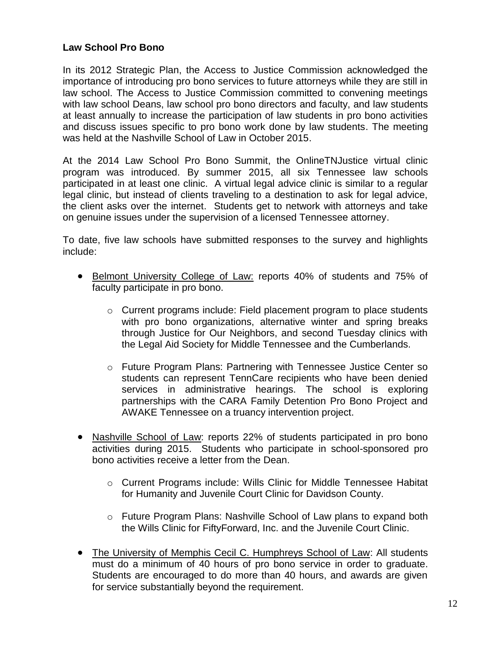## **Law School Pro Bono**

In its 2012 Strategic Plan, the Access to Justice Commission acknowledged the importance of introducing pro bono services to future attorneys while they are still in law school. The Access to Justice Commission committed to convening meetings with law school Deans, law school pro bono directors and faculty, and law students at least annually to increase the participation of law students in pro bono activities and discuss issues specific to pro bono work done by law students. The meeting was held at the Nashville School of Law in October 2015.

At the 2014 Law School Pro Bono Summit, the OnlineTNJustice virtual clinic program was introduced. By summer 2015, all six Tennessee law schools participated in at least one clinic. A virtual legal advice clinic is similar to a regular legal clinic, but instead of clients traveling to a destination to ask for legal advice, the client asks over the internet. Students get to network with attorneys and take on genuine issues under the supervision of a licensed Tennessee attorney.

To date, five law schools have submitted responses to the survey and highlights include:

- Belmont University College of Law: reports 40% of students and 75% of faculty participate in pro bono.
	- $\circ$  Current programs include: Field placement program to place students with pro bono organizations, alternative winter and spring breaks through Justice for Our Neighbors, and second Tuesday clinics with the Legal Aid Society for Middle Tennessee and the Cumberlands.
	- o Future Program Plans: Partnering with Tennessee Justice Center so students can represent TennCare recipients who have been denied services in administrative hearings. The school is exploring partnerships with the CARA Family Detention Pro Bono Project and AWAKE Tennessee on a truancy intervention project.
- Nashville School of Law: reports 22% of students participated in pro bono activities during 2015. Students who participate in school-sponsored pro bono activities receive a letter from the Dean.
	- o Current Programs include: Wills Clinic for Middle Tennessee Habitat for Humanity and Juvenile Court Clinic for Davidson County.
	- o Future Program Plans: Nashville School of Law plans to expand both the Wills Clinic for FiftyForward, Inc. and the Juvenile Court Clinic.
- The University of Memphis Cecil C. Humphreys School of Law: All students must do a minimum of 40 hours of pro bono service in order to graduate. Students are encouraged to do more than 40 hours, and awards are given for service substantially beyond the requirement.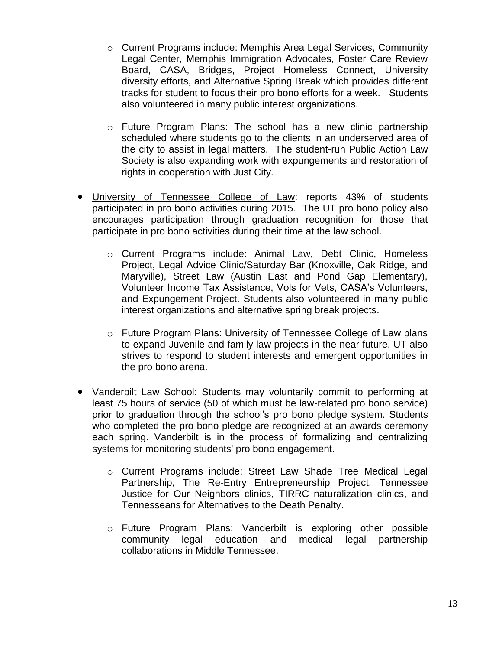- o Current Programs include: Memphis Area Legal Services, Community Legal Center, Memphis Immigration Advocates, Foster Care Review Board, CASA, Bridges, Project Homeless Connect, University diversity efforts, and Alternative Spring Break which provides different tracks for student to focus their pro bono efforts for a week. Students also volunteered in many public interest organizations.
- $\circ$  Future Program Plans: The school has a new clinic partnership scheduled where students go to the clients in an underserved area of the city to assist in legal matters. The student-run Public Action Law Society is also expanding work with expungements and restoration of rights in cooperation with Just City.
- University of Tennessee College of Law: reports 43% of students participated in pro bono activities during 2015. The UT pro bono policy also encourages participation through graduation recognition for those that participate in pro bono activities during their time at the law school.
	- o Current Programs include: Animal Law, Debt Clinic, Homeless Project, Legal Advice Clinic/Saturday Bar (Knoxville, Oak Ridge, and Maryville), Street Law (Austin East and Pond Gap Elementary), Volunteer Income Tax Assistance, Vols for Vets, CASA's Volunteers, and Expungement Project. Students also volunteered in many public interest organizations and alternative spring break projects.
	- $\circ$  Future Program Plans: University of Tennessee College of Law plans to expand Juvenile and family law projects in the near future. UT also strives to respond to student interests and emergent opportunities in the pro bono arena.
- Vanderbilt Law School: Students may voluntarily commit to performing at least 75 hours of service (50 of which must be law-related pro bono service) prior to graduation through the school's pro bono pledge system. Students who completed the pro bono pledge are recognized at an awards ceremony each spring. Vanderbilt is in the process of formalizing and centralizing systems for monitoring students' pro bono engagement.
	- o Current Programs include: Street Law Shade Tree Medical Legal Partnership, The Re-Entry Entrepreneurship Project, Tennessee Justice for Our Neighbors clinics, TIRRC naturalization clinics, and Tennesseans for Alternatives to the Death Penalty.
	- o Future Program Plans: Vanderbilt is exploring other possible community legal education and medical legal partnership collaborations in Middle Tennessee.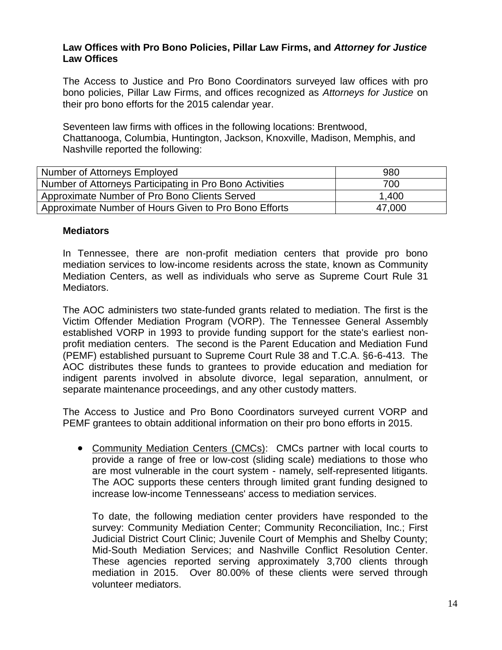### **Law Offices with Pro Bono Policies, Pillar Law Firms, and** *Attorney for Justice* **Law Offices**

The Access to Justice and Pro Bono Coordinators surveyed law offices with pro bono policies, Pillar Law Firms, and offices recognized as *Attorneys for Justice* on their pro bono efforts for the 2015 calendar year.

Seventeen law firms with offices in the following locations: Brentwood, Chattanooga, Columbia, Huntington, Jackson, Knoxville, Madison, Memphis, and Nashville reported the following:

| Number of Attorneys Employed                             | 980    |
|----------------------------------------------------------|--------|
| Number of Attorneys Participating in Pro Bono Activities | 700    |
| Approximate Number of Pro Bono Clients Served            | 1,400  |
| Approximate Number of Hours Given to Pro Bono Efforts    | 47,000 |

### **Mediators**

In Tennessee, there are non-profit mediation centers that provide pro bono mediation services to low-income residents across the state, known as Community Mediation Centers, as well as individuals who serve as Supreme Court Rule 31 Mediators.

The AOC administers two state-funded grants related to mediation. The first is the Victim Offender Mediation Program (VORP). The Tennessee General Assembly established VORP in 1993 to provide funding support for the state's earliest nonprofit mediation centers. The second is the Parent Education and Mediation Fund (PEMF) established pursuant to Supreme Court Rule 38 and T.C.A. §6-6-413. The AOC distributes these funds to grantees to provide education and mediation for indigent parents involved in absolute divorce, legal separation, annulment, or separate maintenance proceedings, and any other custody matters.

The Access to Justice and Pro Bono Coordinators surveyed current VORP and PEMF grantees to obtain additional information on their pro bono efforts in 2015.

 Community Mediation Centers (CMCs): CMCs partner with local courts to provide a range of free or low-cost (sliding scale) mediations to those who are most vulnerable in the court system - namely, self-represented litigants. The AOC supports these centers through limited grant funding designed to increase low-income Tennesseans' access to mediation services.

To date, the following mediation center providers have responded to the survey: Community Mediation Center; Community Reconciliation, Inc.; First Judicial District Court Clinic; Juvenile Court of Memphis and Shelby County; Mid-South Mediation Services; and Nashville Conflict Resolution Center. These agencies reported serving approximately 3,700 clients through mediation in 2015. Over 80.00% of these clients were served through volunteer mediators.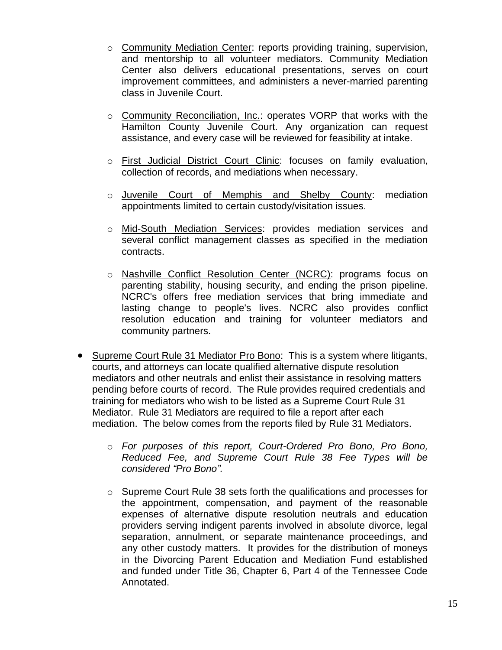- o Community Mediation Center: reports providing training, supervision, and mentorship to all volunteer mediators. Community Mediation Center also delivers educational presentations, serves on court improvement committees, and administers a never-married parenting class in Juvenile Court.
- o Community Reconciliation, Inc.: operates VORP that works with the Hamilton County Juvenile Court. Any organization can request assistance, and every case will be reviewed for feasibility at intake.
- o First Judicial District Court Clinic: focuses on family evaluation, collection of records, and mediations when necessary.
- o Juvenile Court of Memphis and Shelby County: mediation appointments limited to certain custody/visitation issues.
- o Mid-South Mediation Services: provides mediation services and several conflict management classes as specified in the mediation contracts.
- o Nashville Conflict Resolution Center (NCRC): programs focus on parenting stability, housing security, and ending the prison pipeline. NCRC's offers free mediation services that bring immediate and lasting change to people's lives. NCRC also provides conflict resolution education and training for volunteer mediators and community partners.
- Supreme Court Rule 31 Mediator Pro Bono: This is a system where litigants, courts, and attorneys can locate qualified alternative dispute resolution mediators and other neutrals and enlist their assistance in resolving matters pending before courts of record. The Rule provides required credentials and training for mediators who wish to be listed as a Supreme Court Rule 31 Mediator. Rule 31 Mediators are required to file a report after each mediation. The below comes from the reports filed by Rule 31 Mediators.
	- o *For purposes of this report, Court-Ordered Pro Bono, Pro Bono, Reduced Fee, and Supreme Court Rule 38 Fee Types will be considered "Pro Bono".*
	- o Supreme Court Rule 38 sets forth the qualifications and processes for the appointment, compensation, and payment of the reasonable expenses of alternative dispute resolution neutrals and education providers serving indigent parents involved in absolute divorce, legal separation, annulment, or separate maintenance proceedings, and any other custody matters. It provides for the distribution of moneys in the Divorcing Parent Education and Mediation Fund established and funded under Title 36, Chapter 6, Part 4 of the Tennessee Code Annotated.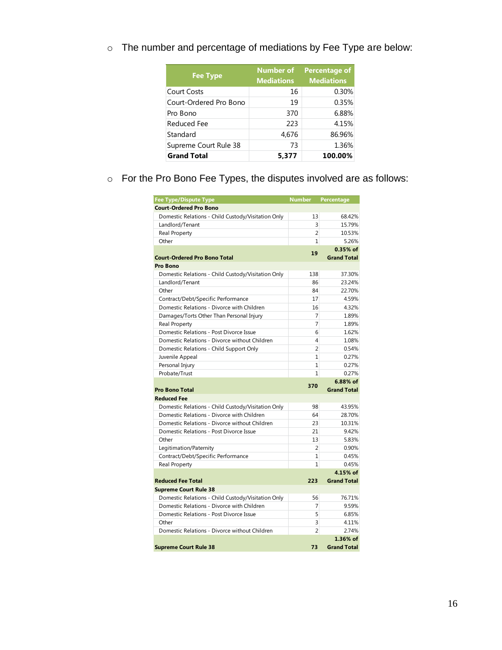| <b>Fee Type</b>        | <b>Number of</b><br><b>Mediations</b> | <b>Percentage of</b><br><b>Mediations</b> |
|------------------------|---------------------------------------|-------------------------------------------|
| <b>Court Costs</b>     | 16                                    | 0.30%                                     |
| Court-Ordered Pro Bono | 19                                    | 0.35%                                     |
| Pro Bono               | 370                                   | 6.88%                                     |
| Reduced Fee            | 223                                   | 4.15%                                     |
| Standard               | 4,676                                 | 86.96%                                    |
| Supreme Court Rule 38  | 73                                    | 1.36%                                     |
| <b>Grand Total</b>     | 5,377                                 | 100.00%                                   |

o The number and percentage of mediations by Fee Type are below:

o For the Pro Bono Fee Types, the disputes involved are as follows:

| <b>Fee Type/Dispute Type</b>                       | <b>Number</b>  | <b>Percentage</b>  |
|----------------------------------------------------|----------------|--------------------|
| <b>Court-Ordered Pro Bono</b>                      |                |                    |
| Domestic Relations - Child Custody/Visitation Only | 13             | 68.42%             |
| Landlord/Tenant                                    | 3              | 15.79%             |
| Real Property                                      | $\overline{2}$ | 10.53%             |
| Other                                              | $\mathbf{1}$   | 5.26%              |
|                                                    | 19             | $0.35%$ of         |
| <b>Court-Ordered Pro Bono Total</b>                |                | <b>Grand Total</b> |
| Pro Bono                                           |                |                    |
| Domestic Relations - Child Custody/Visitation Only | 138            | 37.30%             |
| Landlord/Tenant                                    | 86             | 23.24%             |
| Other                                              | 84             | 22.70%             |
| Contract/Debt/Specific Performance                 | 17             | 4.59%              |
| Domestic Relations - Divorce with Children         | 16             | 4.32%              |
| Damages/Torts Other Than Personal Injury           | 7              | 1.89%              |
| Real Property                                      | 7              | 1.89%              |
| Domestic Relations - Post Divorce Issue            | 6              | 1.62%              |
| Domestic Relations - Divorce without Children      | 4              | 1.08%              |
| Domestic Relations - Child Support Only            | $\overline{2}$ | 0.54%              |
| Juvenile Appeal                                    | 1              | 0.27%              |
| Personal Injury                                    | $\mathbf{1}$   | 0.27%              |
| Probate/Trust                                      | $\mathbf{1}$   | 0.27%              |
|                                                    | 370            | 6.88% of           |
| <b>Pro Bono Total</b>                              |                | <b>Grand Total</b> |
| <b>Reduced Fee</b>                                 |                |                    |
| Domestic Relations - Child Custody/Visitation Only | 98             | 43.95%             |
| Domestic Relations - Divorce with Children         | 64             | 28.70%             |
| Domestic Relations - Divorce without Children      | 23             | 10.31%             |
| Domestic Relations - Post Divorce Issue            | 21             | 9.42%              |
| Other                                              | 13             | 5.83%              |
| Legitimation/Paternity                             | $\overline{2}$ | 0.90%              |
| Contract/Debt/Specific Performance                 | $\mathbf{1}$   | 0.45%              |
| Real Property                                      | 1              | 0.45%              |
|                                                    |                | 4.15% of           |
| <b>Reduced Fee Total</b>                           | 223            | <b>Grand Total</b> |
| <b>Supreme Court Rule 38</b>                       |                |                    |
| Domestic Relations - Child Custody/Visitation Only | 56             | 76.71%             |
| Domestic Relations - Divorce with Children         | 7              | 9.59%              |
| Domestic Relations - Post Divorce Issue            | 5              | 6.85%              |
| Other                                              | 3              | 4.11%              |
| Domestic Relations - Divorce without Children      | $\overline{2}$ | 2.74%              |
|                                                    |                | 1.36% of           |
| <b>Supreme Court Rule 38</b>                       | 73             | <b>Grand Total</b> |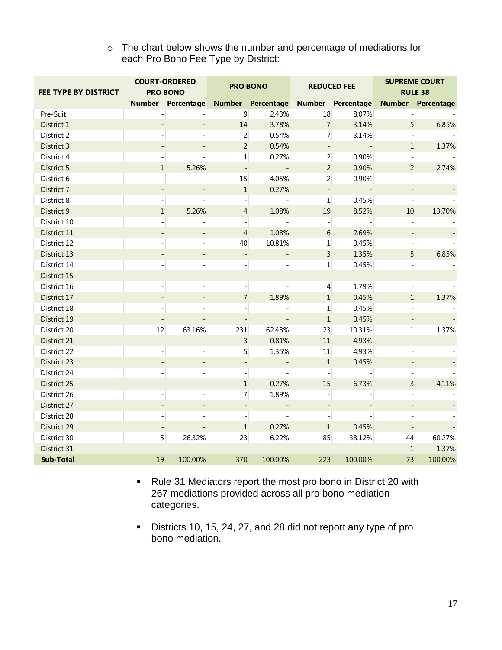o The chart below shows the number and percentage of mediations for each Pro Bono Fee Type by District:

| FEE TYPE BY DISTRICT | <b>COURT-ORDERED</b><br><b>PRO BONO</b> |                          | <b>PRO BONO</b>          |         |                          | <b>REDUCED FEE</b>                  | <b>SUPREME COURT</b><br><b>RULE 38</b> |                          |  |
|----------------------|-----------------------------------------|--------------------------|--------------------------|---------|--------------------------|-------------------------------------|----------------------------------------|--------------------------|--|
|                      |                                         | Number Percentage        |                          |         |                          | Number Percentage Number Percentage |                                        | <b>Number Percentage</b> |  |
| Pre-Suit             |                                         |                          | $\overline{9}$           | 2.43%   | 18                       | 8.07%                               |                                        |                          |  |
| District 1           |                                         |                          | $14\,$                   | 3.78%   | $\overline{7}$           | 3.14%                               | 5                                      | 6.85%                    |  |
| District 2           |                                         |                          | $\overline{2}$           | 0.54%   | 7 <sup>1</sup>           | 3.14%                               |                                        |                          |  |
| District 3           |                                         |                          | $\overline{2}$           | 0.54%   | $\blacksquare$           |                                     | $\mathbf{1}$                           | 1.37%                    |  |
| District 4           |                                         |                          | $\mathbf 1$              | 0.27%   | $\overline{2}$           | 0.90%                               |                                        |                          |  |
| District 5           | $\mathbf{1}$                            | 5.26%                    | $\overline{\phantom{a}}$ | $\sim$  | $\overline{2}$           | 0.90%                               | $\overline{2}$                         | 2.74%                    |  |
| District 6           |                                         |                          | 15                       | 4.05%   | $\overline{2}$           | 0.90%                               |                                        |                          |  |
| District 7           |                                         |                          | $1\,$                    | 0.27%   | $\overline{\phantom{a}}$ |                                     |                                        |                          |  |
| District 8           |                                         |                          |                          |         | $\mathbf 1$              | 0.45%                               |                                        |                          |  |
| District 9           | $\mathbf{1}$                            | 5.26%                    | $\overline{4}$           | 1.08%   | 19                       | 8.52%                               | 10                                     | 13.70%                   |  |
| District 10          |                                         |                          |                          |         | $\overline{\phantom{a}}$ |                                     |                                        |                          |  |
| District 11          |                                         |                          | $\overline{4}$           | 1.08%   | 6                        | 2.69%                               |                                        |                          |  |
| District 12          |                                         |                          | 40                       | 10.81%  | $\mathbf 1$              | 0.45%                               |                                        |                          |  |
| District 13          |                                         |                          | $\blacksquare$           |         | $\overline{3}$           | 1.35%                               | 5                                      | 6.85%                    |  |
| District 14          |                                         |                          |                          |         | 1                        | 0.45%                               |                                        |                          |  |
| District 15          |                                         |                          |                          |         | $\overline{\phantom{a}}$ |                                     |                                        |                          |  |
| District 16          |                                         |                          |                          |         | $\overline{4}$           | 1.79%                               |                                        |                          |  |
| District 17          |                                         |                          | $\overline{7}$           | 1.89%   | $\mathbf{1}$             | 0.45%                               | $\mathbf{1}$                           | 1.37%                    |  |
| District 18          |                                         |                          |                          |         | $\mathbf 1$              | 0.45%                               |                                        |                          |  |
| District 19          |                                         |                          |                          |         | $\mathbf{1}$             | 0.45%                               |                                        |                          |  |
| District 20          | 12                                      | 63.16%                   | 231                      | 62.43%  | 23                       | 10.31%                              | $\mathbf{1}$                           | 1.37%                    |  |
| District 21          |                                         |                          | $\overline{3}$           | 0.81%   | $11\,$                   | 4.93%                               |                                        |                          |  |
| District 22          |                                         |                          | 5                        | 1.35%   | $11\,$                   | 4.93%                               |                                        |                          |  |
| District 23          |                                         |                          |                          |         | $\mathbf{1}$             | 0.45%                               |                                        |                          |  |
| District 24          |                                         |                          |                          |         |                          |                                     |                                        | $\Box$                   |  |
| District 25          |                                         |                          | $\mathbf{1}$             | 0.27%   | 15                       | 6.73%                               | $\overline{3}$                         | 4.11%                    |  |
| District 26          |                                         |                          | $\overline{7}$           | 1.89%   |                          |                                     |                                        |                          |  |
| District 27          |                                         |                          |                          |         |                          |                                     |                                        |                          |  |
| District 28          |                                         |                          |                          |         |                          |                                     |                                        |                          |  |
| District 29          |                                         |                          | $1\,$                    | 0.27%   | $\mathbf{1}$             | 0.45%                               |                                        |                          |  |
| District 30          |                                         | 5 <sup>1</sup><br>26.32% | 23                       | 6.22%   | 85                       | 38.12%                              | 44                                     | 60.27%                   |  |
| District 31          |                                         |                          |                          |         | $\overline{\phantom{a}}$ |                                     | $\mathbf{1}$                           | 1.37%                    |  |
| <b>Sub-Total</b>     | 19                                      | 100.00%                  | 370                      | 100.00% | 223                      | 100.00%                             | 73                                     | 100.00%                  |  |

Rule 31 Mediators report the most pro bono in District 20 with 267 mediations provided across all pro bono mediation categories.

Districts 10, 15, 24, 27, and 28 did not report any type of pro bono mediation.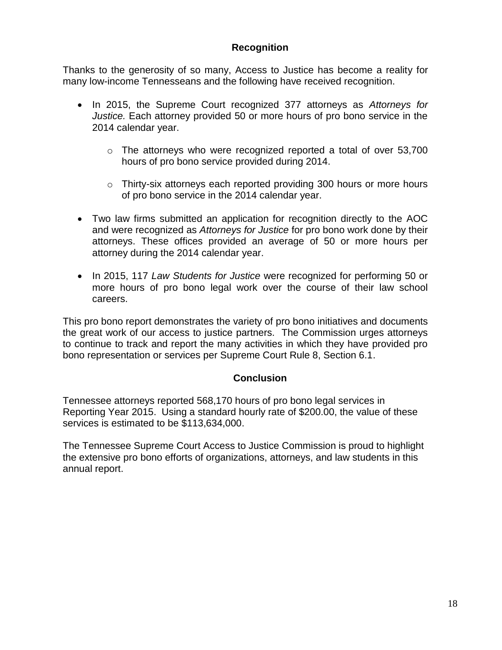## **Recognition**

Thanks to the generosity of so many, Access to Justice has become a reality for many low-income Tennesseans and the following have received recognition.

- In 2015, the Supreme Court recognized 377 attorneys as *Attorneys for Justice.* Each attorney provided 50 or more hours of pro bono service in the 2014 calendar year.
	- $\circ$  The attorneys who were recognized reported a total of over 53,700 hours of pro bono service provided during 2014.
	- o Thirty-six attorneys each reported providing 300 hours or more hours of pro bono service in the 2014 calendar year.
- Two law firms submitted an application for recognition directly to the AOC and were recognized as *Attorneys for Justice* for pro bono work done by their attorneys. These offices provided an average of 50 or more hours per attorney during the 2014 calendar year.
- In 2015, 117 *Law Students for Justice* were recognized for performing 50 or more hours of pro bono legal work over the course of their law school careers.

This pro bono report demonstrates the variety of pro bono initiatives and documents the great work of our access to justice partners. The Commission urges attorneys to continue to track and report the many activities in which they have provided pro bono representation or services per Supreme Court Rule 8, Section 6.1.

## **Conclusion**

Tennessee attorneys reported 568,170 hours of pro bono legal services in Reporting Year 2015. Using a standard hourly rate of \$200.00, the value of these services is estimated to be \$113,634,000.

The Tennessee Supreme Court Access to Justice Commission is proud to highlight the extensive pro bono efforts of organizations, attorneys, and law students in this annual report.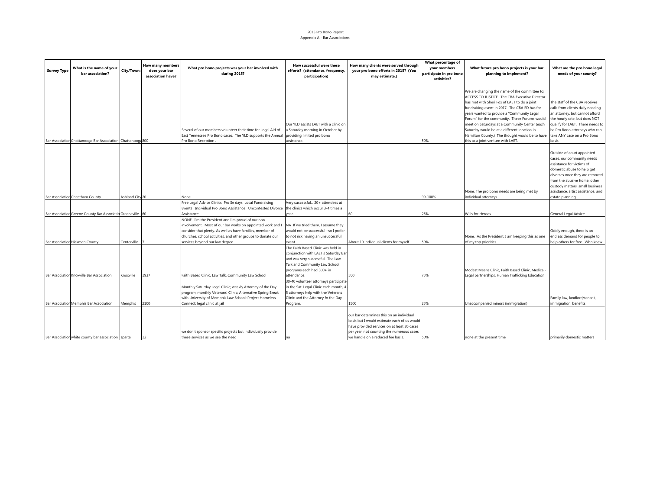#### 2015 Pro Bono Report Appendix A - Bar Associations

| <b>Survey Type</b> | What is the name of your<br>bar association?                | City/Town:      | How many members<br>does your bar<br>association have? | What pro bono projects was your bar involved with<br>during 2015?                                                                                                                                                                         | How successful were these<br>efforts? (attendance, frequency,<br>participation)                                                                                              | How many clients were served through<br>your pro bono efforts in 2015? (You<br>may estimate.)                                                                                                                            | What percentage of<br>your members<br>participate in pro bono<br>activities? | What future pro bono projects is your bar<br>planning to implement?                                                                                                                                                                                                                                                                                                                                                                                                                    | What are the pro bono legal<br>needs of your county?                                                                                                                                                                                                                               |
|--------------------|-------------------------------------------------------------|-----------------|--------------------------------------------------------|-------------------------------------------------------------------------------------------------------------------------------------------------------------------------------------------------------------------------------------------|------------------------------------------------------------------------------------------------------------------------------------------------------------------------------|--------------------------------------------------------------------------------------------------------------------------------------------------------------------------------------------------------------------------|------------------------------------------------------------------------------|----------------------------------------------------------------------------------------------------------------------------------------------------------------------------------------------------------------------------------------------------------------------------------------------------------------------------------------------------------------------------------------------------------------------------------------------------------------------------------------|------------------------------------------------------------------------------------------------------------------------------------------------------------------------------------------------------------------------------------------------------------------------------------|
|                    | Bar Associatior Chattanooga Bar Association Chattanooga 800 |                 |                                                        | Several of our members volunteer their time for Legal Aid of<br>East Tennessee Pro Bono cases. The YLD supports the Annual<br>Pro Bono Reception                                                                                          | Our YLD assists LAET with a clinic on<br>Saturday morning in October by<br>providing limited pro bono<br>assistance.                                                         |                                                                                                                                                                                                                          | 50%                                                                          | We are changing the name of the committee to:<br>ACCESS TO JUSTICE. The CBA Executive Director<br>has met with Sheri Fox of LAET to do a joint<br>fundraising event in 2017. The CBA ED has for<br>years wanted to provide a "Community Legal<br>Forum" for the community. These Forums would<br>meet on Saturdays at a Community Center (each<br>Saturday would be at a different location in<br>Hamilton County.) The thought would be to have<br>this as a joint venture with LAET. | The staff of the CBA receives<br>calls from clients daily needing<br>an attorney, but cannot afford<br>the hourly rate, but does NOT<br>qualify for LAET. There needs to<br>be Pro Bono attorneys who can<br>take ANY case on a Pro Bono<br>basis.                                 |
|                    | Bar Association Cheatham County                             | Ashland City 20 |                                                        | None                                                                                                                                                                                                                                      |                                                                                                                                                                              |                                                                                                                                                                                                                          | 99-100%                                                                      | None. The pro bono needs are being met by<br>individual attorneys.                                                                                                                                                                                                                                                                                                                                                                                                                     | Outside of court appointed<br>cases, our community needs<br>assistance for victims of<br>domestic abuse to help get<br>divorces once they are removed<br>from the abusive home, other<br>custody matters, small business<br>assistance, artist assistance, and<br>estate planning. |
|                    |                                                             |                 |                                                        | Free Legal Advice Clinics Pro Se days Local Fundraising                                                                                                                                                                                   | Very successful 20+ attendees at                                                                                                                                             |                                                                                                                                                                                                                          |                                                                              |                                                                                                                                                                                                                                                                                                                                                                                                                                                                                        |                                                                                                                                                                                                                                                                                    |
|                    |                                                             |                 |                                                        | Events Individual Pro Bono Assistance Uncontested Divorce                                                                                                                                                                                 | the clinics which occur 3-4 times a                                                                                                                                          |                                                                                                                                                                                                                          |                                                                              |                                                                                                                                                                                                                                                                                                                                                                                                                                                                                        |                                                                                                                                                                                                                                                                                    |
|                    | Bar Associatior Greene County Bar Associatio Greeneville 60 |                 |                                                        | Assistance                                                                                                                                                                                                                                | year.                                                                                                                                                                        | 60                                                                                                                                                                                                                       | 25%                                                                          | Wills for Heroes                                                                                                                                                                                                                                                                                                                                                                                                                                                                       | General Legal Advice                                                                                                                                                                                                                                                               |
|                    |                                                             |                 |                                                        | NONE. I'm the President and I'm proud of our non-<br>involvement. Most of our bar works on appointed work and I<br>consider that plenty. As well as have families, member of                                                              | NA If we tried them, I assume they<br>would not be successful--so I prefer                                                                                                   |                                                                                                                                                                                                                          |                                                                              |                                                                                                                                                                                                                                                                                                                                                                                                                                                                                        | Oddly enough, there is an                                                                                                                                                                                                                                                          |
|                    | Bar Association Hickman County                              | Centerville     |                                                        | churches, school activities, and other groups to donate our<br>services beyond our law degree.                                                                                                                                            | to not risk having an unsuccessful<br>event.                                                                                                                                 | About 10 individual clients for myself                                                                                                                                                                                   | 50%                                                                          | None. As the President, I am keeping this as one<br>of my top priorities.                                                                                                                                                                                                                                                                                                                                                                                                              | endless demand for people to<br>help others for free. Who knew.                                                                                                                                                                                                                    |
|                    |                                                             |                 |                                                        |                                                                                                                                                                                                                                           | The Faith Based Clinic was held in<br>conjunction with LAET's Saturday Bar<br>and was very successful. The Law<br>Talk and Community Law School<br>programs each had 300+ in |                                                                                                                                                                                                                          |                                                                              | Modest Means Clinic, Faith Based Clinic, Medical-                                                                                                                                                                                                                                                                                                                                                                                                                                      |                                                                                                                                                                                                                                                                                    |
|                    | Bar Association Knoxville Bar Association                   | Knoxville       | 1937                                                   | Faith Based Clinic, Law Talk, Community Law School<br>Monthly Saturday Legal Clinic; weekly Attorney of the Day<br>program; monthly Veterans' Clinic; Alternative Spring Break<br>with University of Memphis Law School; Project Homeless | attendance.<br>30-40 volunteer attorneys participate<br>in the Sat. Legal Clinic each month; 4-<br>5 attorneys help with the Veterans<br>Clinic and the Attorney fo the Day  | 500                                                                                                                                                                                                                      | 75%                                                                          | Legal partnerships, Human Trafficking Education                                                                                                                                                                                                                                                                                                                                                                                                                                        | Family law, landlord/tenant,                                                                                                                                                                                                                                                       |
|                    | Bar Associatior Memphis Bar Association                     | Memphis         | 2100                                                   | Connect; legal clinic at jail                                                                                                                                                                                                             | Program.                                                                                                                                                                     | 1500                                                                                                                                                                                                                     | 25%                                                                          | Unaccompanied minors (immigration)                                                                                                                                                                                                                                                                                                                                                                                                                                                     | immigration, benefits                                                                                                                                                                                                                                                              |
|                    | Bar Associatior white county bar association sparta         |                 | 12                                                     | we don't sponsor specific projects but individually provide<br>these services as we see the need                                                                                                                                          | na                                                                                                                                                                           | our bar determines this on an individual<br>basis but I would estimate each of us would<br>have provided services on at least 20 cases<br>per year, not counting the numerous cases<br>we handle on a reduced fee basis. | 50%                                                                          | none at the present time                                                                                                                                                                                                                                                                                                                                                                                                                                                               | primarily domestic matters                                                                                                                                                                                                                                                         |
|                    |                                                             |                 |                                                        |                                                                                                                                                                                                                                           |                                                                                                                                                                              |                                                                                                                                                                                                                          |                                                                              |                                                                                                                                                                                                                                                                                                                                                                                                                                                                                        |                                                                                                                                                                                                                                                                                    |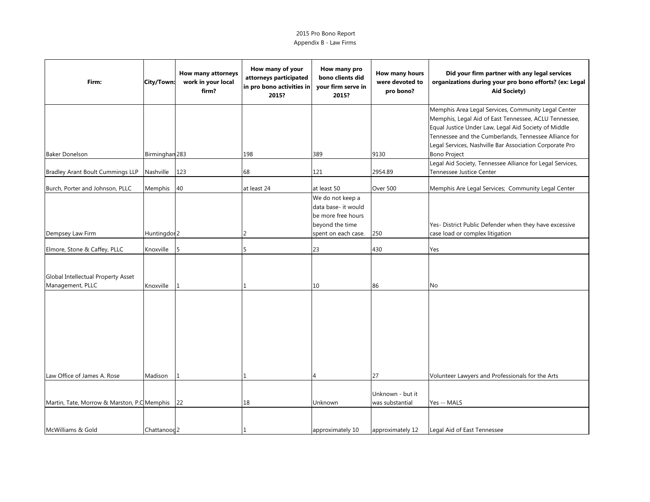| Firm:                                                  | City/Town:              | How many attorneys<br>work in your local<br>firm? | How many of your<br>attorneys participated<br>in pro bono activities in<br>2015? | How many pro<br>bono clients did<br>your firm serve in<br>2015?                     | How many hours<br>were devoted to<br>pro bono? | Did your firm partner with any legal services<br>organizations during your pro bono efforts? (ex: Legal<br><b>Aid Society)</b>                                                                                                |
|--------------------------------------------------------|-------------------------|---------------------------------------------------|----------------------------------------------------------------------------------|-------------------------------------------------------------------------------------|------------------------------------------------|-------------------------------------------------------------------------------------------------------------------------------------------------------------------------------------------------------------------------------|
|                                                        |                         |                                                   |                                                                                  |                                                                                     |                                                | Memphis Area Legal Services, Community Legal Center<br>Memphis, Legal Aid of East Tennessee, ACLU Tennessee,<br>Equal Justice Under Law, Legal Aid Society of Middle<br>Tennessee and the Cumberlands, Tennessee Alliance for |
| <b>Baker Donelson</b>                                  | Birminghan 283          |                                                   | 198                                                                              | 389                                                                                 | 9130                                           | Legal Services, Nashville Bar Association Corporate Pro<br><b>Bono Project</b>                                                                                                                                                |
| <b>Bradley Arant Boult Cummings LLP</b>                | Nashville               | 123                                               | 68                                                                               | 121                                                                                 | 2954.89                                        | Legal Aid Society, Tennessee Alliance for Legal Services,<br>Tennessee Justice Center                                                                                                                                         |
| Burch, Porter and Johnson, PLLC                        | Memphis                 | 40                                                | at least 24                                                                      | at least 50<br>We do not keep a                                                     | Over 500                                       | Memphis Are Legal Services; Community Legal Center                                                                                                                                                                            |
| Dempsey Law Firm                                       | Huntingdor <sub>2</sub> |                                                   |                                                                                  | data base- it would<br>be more free hours<br>beyond the time<br>spent on each case. | 250                                            | Yes- District Public Defender when they have excessive<br>case load or complex litigation                                                                                                                                     |
| Elmore, Stone & Caffey, PLLC                           | Knoxville               | 5                                                 |                                                                                  | 23                                                                                  | 430                                            | Yes                                                                                                                                                                                                                           |
| Global Intellectual Property Asset<br>Management, PLLC | Knoxville               | $\mathbf{1}$                                      |                                                                                  | 10                                                                                  | 86                                             | No                                                                                                                                                                                                                            |
|                                                        |                         |                                                   |                                                                                  |                                                                                     |                                                |                                                                                                                                                                                                                               |
| Law Office of James A. Rose                            | Madison                 | 1                                                 |                                                                                  |                                                                                     | 27                                             | Volunteer Lawyers and Professionals for the Arts                                                                                                                                                                              |
| Martin, Tate, Morrow & Marston, P.C Memphis 22         |                         |                                                   | 18                                                                               | Unknown                                                                             | Unknown - but it<br>was substantial            | Yes -- MALS                                                                                                                                                                                                                   |
| McWilliams & Gold                                      | Chattanood 2            |                                                   |                                                                                  | approximately 10                                                                    | approximately 12                               | Legal Aid of East Tennessee                                                                                                                                                                                                   |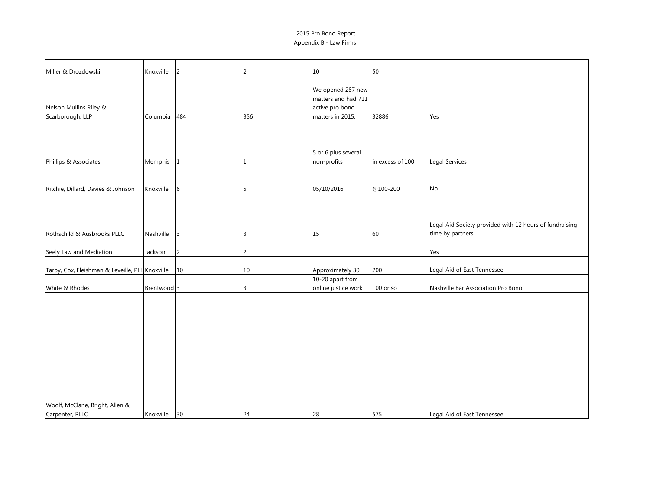| Miller & Drozdowski                             | Knoxville    | $\overline{2}$  | 2      | 10                                                                              | 50               |                                                                              |
|-------------------------------------------------|--------------|-----------------|--------|---------------------------------------------------------------------------------|------------------|------------------------------------------------------------------------------|
| Nelson Mullins Riley &<br>Scarborough, LLP      | Columbia 484 |                 | 356    | We opened 287 new<br>matters and had 711<br>active pro bono<br>matters in 2015. | 32886            | Yes                                                                          |
|                                                 |              |                 |        |                                                                                 |                  |                                                                              |
| Phillips & Associates                           | Memphis 1    |                 |        | 5 or 6 plus several<br>non-profits                                              | in excess of 100 | Legal Services                                                               |
|                                                 |              |                 |        |                                                                                 |                  |                                                                              |
| Ritchie, Dillard, Davies & Johnson              | Knoxville    | $6\overline{6}$ | 5      | 05/10/2016                                                                      | @100-200         | No                                                                           |
| Rothschild & Ausbrooks PLLC                     | Nashville 3  |                 |        | 15                                                                              | 60               | Legal Aid Society provided with 12 hours of fundraising<br>time by partners. |
|                                                 |              |                 |        |                                                                                 |                  |                                                                              |
| Seely Law and Mediation                         | Jackson      | $\overline{2}$  |        |                                                                                 |                  | Yes                                                                          |
| Tarpy, Cox, Fleishman & Leveille, PLL Knoxville |              | 10              | $10\,$ | Approximately 30                                                                | 200              | Legal Aid of East Tennessee                                                  |
|                                                 |              |                 |        | 10-20 apart from                                                                |                  |                                                                              |
| White & Rhodes                                  | Brentwood 3  |                 |        | online justice work                                                             | $100$ or so      | Nashville Bar Association Pro Bono                                           |
|                                                 |              |                 |        |                                                                                 |                  |                                                                              |
| Woolf, McClane, Bright, Allen &                 |              |                 |        |                                                                                 |                  |                                                                              |
| Carpenter, PLLC                                 | Knoxville 30 |                 | 24     | 28                                                                              | 575              | Legal Aid of East Tennessee                                                  |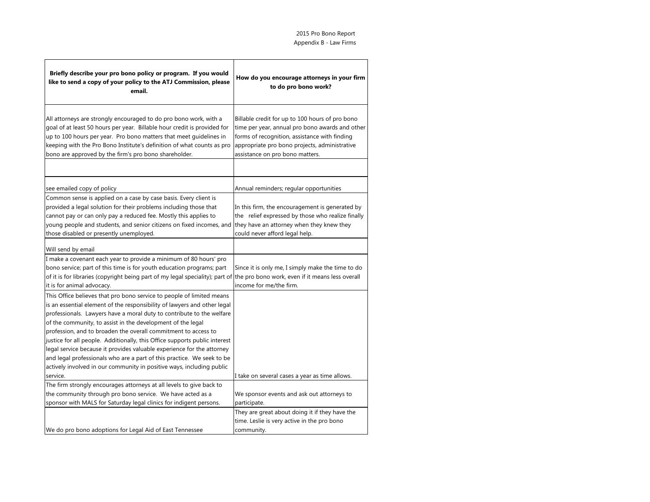| Briefly describe your pro bono policy or program. If you would<br>like to send a copy of your policy to the ATJ Commission, please<br>email.                                                                                                                                                                                                                                                                                                                                                                                                                                                                                                                                       | How do you encourage attorneys in your firm<br>to do pro bono work?                                                                                                                                                                     |
|------------------------------------------------------------------------------------------------------------------------------------------------------------------------------------------------------------------------------------------------------------------------------------------------------------------------------------------------------------------------------------------------------------------------------------------------------------------------------------------------------------------------------------------------------------------------------------------------------------------------------------------------------------------------------------|-----------------------------------------------------------------------------------------------------------------------------------------------------------------------------------------------------------------------------------------|
| All attorneys are strongly encouraged to do pro bono work, with a<br>goal of at least 50 hours per year. Billable hour credit is provided for<br>up to 100 hours per year. Pro bono matters that meet guidelines in<br>keeping with the Pro Bono Institute's definition of what counts as pro<br>bono are approved by the firm's pro bono shareholder.                                                                                                                                                                                                                                                                                                                             | Billable credit for up to 100 hours of pro bono<br>time per year, annual pro bono awards and other<br>forms of recognition, assistance with finding<br>appropriate pro bono projects, administrative<br>assistance on pro bono matters. |
|                                                                                                                                                                                                                                                                                                                                                                                                                                                                                                                                                                                                                                                                                    |                                                                                                                                                                                                                                         |
| see emailed copy of policy<br>Common sense is applied on a case by case basis. Every client is<br>provided a legal solution for their problems including those that<br>cannot pay or can only pay a reduced fee. Mostly this applies to<br>young people and students, and senior citizens on fixed incomes, and<br>those disabled or presently unemployed.                                                                                                                                                                                                                                                                                                                         | Annual reminders; regular opportunities<br>In this firm, the encouragement is generated by<br>the relief expressed by those who realize finally<br>they have an attorney when they knew they<br>could never afford legal help.          |
| Will send by email                                                                                                                                                                                                                                                                                                                                                                                                                                                                                                                                                                                                                                                                 |                                                                                                                                                                                                                                         |
| I make a covenant each year to provide a minimum of 80 hours' pro<br>bono service; part of this time is for youth education programs; part<br>of it is for libraries (copyright being part of my legal speciality); part of the pro bono work, even if it means less overall<br>it is for animal advocacy.                                                                                                                                                                                                                                                                                                                                                                         | Since it is only me, I simply make the time to do<br>income for me/the firm.                                                                                                                                                            |
| This Office believes that pro bono service to people of limited means<br>is an essential element of the responsibility of lawyers and other legal<br>professionals. Lawyers have a moral duty to contribute to the welfare<br>of the community, to assist in the development of the legal<br>profession, and to broaden the overall commitment to access to<br>justice for all people. Additionally, this Office supports public interest<br>legal service because it provides valuable experience for the attorney<br>and legal professionals who are a part of this practice. We seek to be<br>actively involved in our community in positive ways, including public<br>service. | I take on several cases a year as time allows.                                                                                                                                                                                          |
| The firm strongly encourages attorneys at all levels to give back to<br>the community through pro bono service. We have acted as a                                                                                                                                                                                                                                                                                                                                                                                                                                                                                                                                                 | We sponsor events and ask out attorneys to                                                                                                                                                                                              |
| sponsor with MALS for Saturday legal clinics for indigent persons.                                                                                                                                                                                                                                                                                                                                                                                                                                                                                                                                                                                                                 | participate.                                                                                                                                                                                                                            |
|                                                                                                                                                                                                                                                                                                                                                                                                                                                                                                                                                                                                                                                                                    | They are great about doing it if they have the<br>time. Leslie is very active in the pro bono                                                                                                                                           |
| We do pro bono adoptions for Legal Aid of East Tennessee                                                                                                                                                                                                                                                                                                                                                                                                                                                                                                                                                                                                                           | community.                                                                                                                                                                                                                              |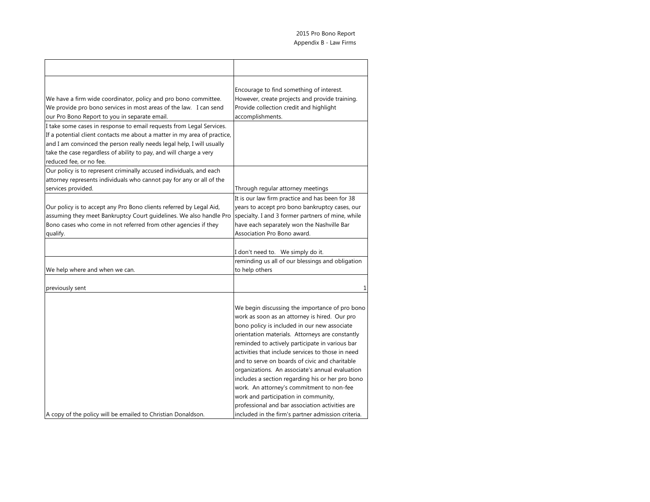| We have a firm wide coordinator, policy and pro bono committee.<br>We provide pro bono services in most areas of the law. I can send<br>our Pro Bono Report to you in separate email.                                                                                                                                      | Encourage to find something of interest.<br>However, create projects and provide training.<br>Provide collection credit and highlight<br>accomplishments.                                                                                                                                                                                                                                                                                                                                                                                                                                                   |
|----------------------------------------------------------------------------------------------------------------------------------------------------------------------------------------------------------------------------------------------------------------------------------------------------------------------------|-------------------------------------------------------------------------------------------------------------------------------------------------------------------------------------------------------------------------------------------------------------------------------------------------------------------------------------------------------------------------------------------------------------------------------------------------------------------------------------------------------------------------------------------------------------------------------------------------------------|
| I take some cases in response to email requests from Legal Services.<br>If a potential client contacts me about a matter in my area of practice,<br>and I am convinced the person really needs legal help, I will usually<br>take the case regardless of ability to pay, and will charge a very<br>reduced fee, or no fee. |                                                                                                                                                                                                                                                                                                                                                                                                                                                                                                                                                                                                             |
| Our policy is to represent criminally accused individuals, and each<br>attorney represents individuals who cannot pay for any or all of the<br>services provided.                                                                                                                                                          | Through regular attorney meetings                                                                                                                                                                                                                                                                                                                                                                                                                                                                                                                                                                           |
| Our policy is to accept any Pro Bono clients referred by Legal Aid,<br>assuming they meet Bankruptcy Court guidelines. We also handle Pro<br>Bono cases who come in not referred from other agencies if they<br>qualify.                                                                                                   | It is our law firm practice and has been for 38<br>years to accept pro bono bankruptcy cases, our<br>specialty. I and 3 former partners of mine, while<br>have each separately won the Nashville Bar<br>Association Pro Bono award.                                                                                                                                                                                                                                                                                                                                                                         |
|                                                                                                                                                                                                                                                                                                                            | I don't need to. We simply do it.                                                                                                                                                                                                                                                                                                                                                                                                                                                                                                                                                                           |
| We help where and when we can.                                                                                                                                                                                                                                                                                             | reminding us all of our blessings and obligation<br>to help others                                                                                                                                                                                                                                                                                                                                                                                                                                                                                                                                          |
| previously sent                                                                                                                                                                                                                                                                                                            | 1                                                                                                                                                                                                                                                                                                                                                                                                                                                                                                                                                                                                           |
|                                                                                                                                                                                                                                                                                                                            | We begin discussing the importance of pro bono<br>work as soon as an attorney is hired. Our pro<br>bono policy is included in our new associate<br>orientation materials. Attorneys are constantly<br>reminded to actively participate in various bar<br>activities that include services to those in need<br>and to serve on boards of civic and charitable<br>organizations. An associate's annual evaluation<br>includes a section regarding his or her pro bono<br>work. An attorney's commitment to non-fee<br>work and participation in community,<br>professional and bar association activities are |
| A copy of the policy will be emailed to Christian Donaldson.                                                                                                                                                                                                                                                               | included in the firm's partner admission criteria.                                                                                                                                                                                                                                                                                                                                                                                                                                                                                                                                                          |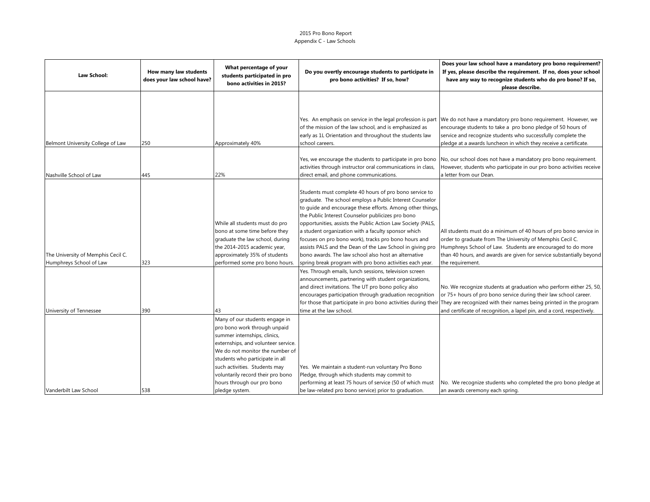### 2015 Pro Bono Report Appendix C - Law Schools

| Law School:                                                   | How many law students<br>does your law school have? | What percentage of your<br>students participated in pro<br>bono activities in 2015?                                                                                                                                                                                                                                               | Do you overtly encourage students to participate in<br>pro bono activities? If so, how?                                                                                                                                                                                                                                                                                                                                                                                                                                                                                                             | Does your law school have a mandatory pro bono requirement?<br>If yes, please describe the requirement. If no, does your school<br>have any way to recognize students who do pro bono? If so,<br>please describe.                                                                         |
|---------------------------------------------------------------|-----------------------------------------------------|-----------------------------------------------------------------------------------------------------------------------------------------------------------------------------------------------------------------------------------------------------------------------------------------------------------------------------------|-----------------------------------------------------------------------------------------------------------------------------------------------------------------------------------------------------------------------------------------------------------------------------------------------------------------------------------------------------------------------------------------------------------------------------------------------------------------------------------------------------------------------------------------------------------------------------------------------------|-------------------------------------------------------------------------------------------------------------------------------------------------------------------------------------------------------------------------------------------------------------------------------------------|
|                                                               |                                                     |                                                                                                                                                                                                                                                                                                                                   | of the mission of the law school, and is emphasized as<br>early as 1L Orientation and throughout the students law                                                                                                                                                                                                                                                                                                                                                                                                                                                                                   | Yes. An emphasis on service in the legal profession is part We do not have a mandatory pro bono requirement. However, we<br>encourage students to take a pro bono pledge of 50 hours of<br>service and recognize students who successfully complete the                                   |
| Belmont University College of Law                             | 250                                                 | Approximately 40%                                                                                                                                                                                                                                                                                                                 | school careers.                                                                                                                                                                                                                                                                                                                                                                                                                                                                                                                                                                                     | pledge at a awards luncheon in which they receive a certificate.                                                                                                                                                                                                                          |
| Nashville School of Law                                       | 445                                                 | 22%                                                                                                                                                                                                                                                                                                                               | Yes, we encourage the students to participate in pro bono<br>activities through instructor oral communications in class,<br>direct email, and phone communications.                                                                                                                                                                                                                                                                                                                                                                                                                                 | No, our school does not have a mandatory pro bono requirement.<br>However, students who participate in our pro bono activities receive<br>a letter from our Dean.                                                                                                                         |
| The University of Memphis Cecil C.<br>Humphreys School of Law | 323                                                 | While all students must do pro<br>bono at some time before they<br>graduate the law school, during<br>the 2014-2015 academic year,<br>approximately 35% of students<br>performed some pro bono hours.                                                                                                                             | Students must complete 40 hours of pro bono service to<br>graduate. The school employs a Public Interest Counselor<br>to quide and encourage these efforts. Among other things,<br>the Public Interest Counselor publicizes pro bono<br>opportunities, assists the Public Action Law Society (PALS,<br>a student organization with a faculty sponsor which<br>focuses on pro bono work), tracks pro bono hours and<br>assists PALS and the Dean of the Law School in giving pro<br>bono awards. The law school also host an alternative<br>spring break program with pro bono activities each year. | All students must do a minimum of 40 hours of pro bono service in<br>order to graduate from The University of Memphis Cecil C.<br>Humphreys School of Law. Students are encouraged to do more<br>than 40 hours, and awards are given for service substantially beyond<br>the requirement. |
| University of Tennessee                                       | 390                                                 | 43                                                                                                                                                                                                                                                                                                                                | Yes. Through emails, lunch sessions, television screen<br>announcements, partnering with student organizations,<br>and direct invitations. The UT pro bono policy also<br>encourages participation through graduation recognition<br>for those that participate in pro bono activities during their<br>time at the law school.                                                                                                                                                                                                                                                                      | No. We recognize students at graduation who perform either 25, 50,<br>or 75+ hours of pro bono service during their law school career.<br>They are recognized with their names being printed in the program<br>and certificate of recognition, a lapel pin, and a cord, respectively.     |
| Vanderbilt Law School                                         | 538                                                 | Many of our students engage in<br>pro bono work through unpaid<br>summer internships, clinics,<br>externships, and volunteer service.<br>We do not monitor the number of<br>students who participate in all<br>such activities. Students may<br>voluntarily record their pro bono<br>hours through our pro bono<br>pledge system. | Yes. We maintain a student-run voluntary Pro Bono<br>Pledge, through which students may commit to<br>performing at least 75 hours of service (50 of which must<br>be law-related pro bono service) prior to graduation.                                                                                                                                                                                                                                                                                                                                                                             | No. We recognize students who completed the pro bono pledge at<br>an awards ceremony each spring.                                                                                                                                                                                         |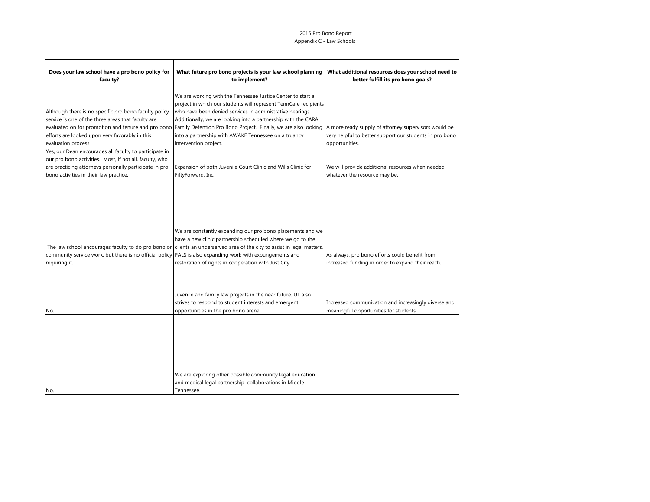### 2015 Pro Bono Report Appendix C - Law Schools

| Does your law school have a pro bono policy for<br>faculty?                                                                                                                                                           | What future pro bono projects is your law school planning<br>to implement?                                                                                                                                                                                                                                                                                                                                                                                           | What additional resources does your school need to<br>better fulfill its pro bono goals?                                          |
|-----------------------------------------------------------------------------------------------------------------------------------------------------------------------------------------------------------------------|----------------------------------------------------------------------------------------------------------------------------------------------------------------------------------------------------------------------------------------------------------------------------------------------------------------------------------------------------------------------------------------------------------------------------------------------------------------------|-----------------------------------------------------------------------------------------------------------------------------------|
| Although there is no specific pro bono faculty policy,<br>service is one of the three areas that faculty are<br>efforts are looked upon very favorably in this<br>evaluation process.                                 | We are working with the Tennessee Justice Center to start a<br>project in which our students will represent TennCare recipients<br>who have been denied services in administrative hearings.<br>Additionally, we are looking into a partnership with the CARA<br>evaluated on for promotion and tenure and pro bono Family Detention Pro Bono Project. Finally, we are also looking<br>into a partnership with AWAKE Tennessee on a truancy<br>intervention project. | A more ready supply of attorney supervisors would be<br>very helpful to better support our students in pro bono<br>opportunities. |
| Yes, our Dean encourages all faculty to participate in<br>our pro bono activities. Most, if not all, faculty, who<br>are practicing attorneys personally participate in pro<br>bono activities in their law practice. | Expansion of both Juvenile Court Clinic and Wills Clinic for<br>FiftyForward, Inc.                                                                                                                                                                                                                                                                                                                                                                                   | We will provide additional resources when needed,<br>whatever the resource may be.                                                |
| community service work, but there is no official policy PALS is also expanding work with expungements and<br>requiring it.                                                                                            | We are constantly expanding our pro bono placements and we<br>have a new clinic partnership scheduled where we go to the<br>The law school encourages faculty to do pro bono or clients an underserved area of the city to assist in legal matters.<br>restoration of rights in cooperation with Just City.                                                                                                                                                          | As always, pro bono efforts could benefit from<br>increased funding in order to expand their reach.                               |
| No.                                                                                                                                                                                                                   | Juvenile and family law projects in the near future. UT also<br>strives to respond to student interests and emergent<br>opportunities in the pro bono arena.                                                                                                                                                                                                                                                                                                         | Increased communication and increasingly diverse and<br>meaningful opportunities for students.                                    |
| No.                                                                                                                                                                                                                   | We are exploring other possible community legal education<br>and medical legal partnership collaborations in Middle<br>Tennessee.                                                                                                                                                                                                                                                                                                                                    |                                                                                                                                   |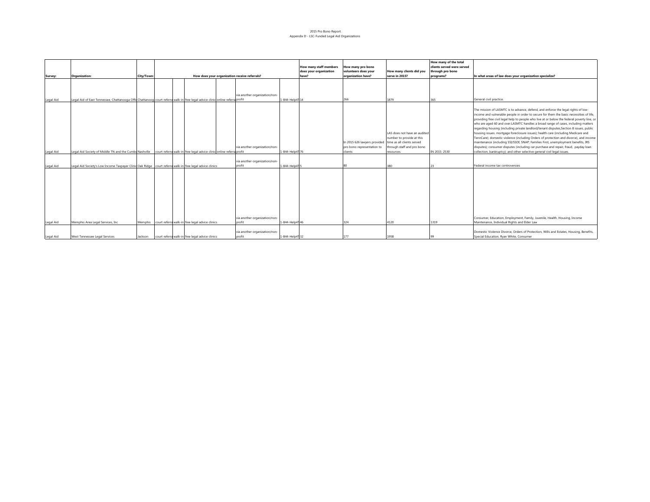#### 2015 Pro Bono Report Appendix D - LSC-Funded Legal Aid Organizations

|           |                                                                                                                                |            |                                                         |                                         |                |                                                  |                                                                       |                                                                                                                                     | How many of the total                          |                                                                                                                                                                                                                                                                                                                                                                                                                                                                                                                                                                                                                                                                                                                                                                                                                                                                                                   |
|-----------|--------------------------------------------------------------------------------------------------------------------------------|------------|---------------------------------------------------------|-----------------------------------------|----------------|--------------------------------------------------|-----------------------------------------------------------------------|-------------------------------------------------------------------------------------------------------------------------------------|------------------------------------------------|---------------------------------------------------------------------------------------------------------------------------------------------------------------------------------------------------------------------------------------------------------------------------------------------------------------------------------------------------------------------------------------------------------------------------------------------------------------------------------------------------------------------------------------------------------------------------------------------------------------------------------------------------------------------------------------------------------------------------------------------------------------------------------------------------------------------------------------------------------------------------------------------------|
|           |                                                                                                                                |            |                                                         |                                         |                | How many staff members<br>does your organization | How many pro bono<br>volunteers does your                             | How many clients did you                                                                                                            | clients served were served<br>through pro bono |                                                                                                                                                                                                                                                                                                                                                                                                                                                                                                                                                                                                                                                                                                                                                                                                                                                                                                   |
| Survey:   | <b>Organization:</b>                                                                                                           | City/Town: | How does your organization receive referrals?           |                                         |                | have?                                            | organization have?                                                    | serve in 2015?                                                                                                                      | programs?                                      | In what areas of law does your organization specialize?                                                                                                                                                                                                                                                                                                                                                                                                                                                                                                                                                                                                                                                                                                                                                                                                                                           |
|           |                                                                                                                                |            |                                                         | via another organization/non-           |                |                                                  |                                                                       |                                                                                                                                     |                                                |                                                                                                                                                                                                                                                                                                                                                                                                                                                                                                                                                                                                                                                                                                                                                                                                                                                                                                   |
| Legal Aid | Legal Aid of East Tennessee, Chattanooga Offil Chattanoog court referra walk-in free legal advice clinic online referra profit |            |                                                         |                                         | 1-844-Help4114 |                                                  | 266                                                                   | 1879                                                                                                                                | 365                                            | General civil practice.                                                                                                                                                                                                                                                                                                                                                                                                                                                                                                                                                                                                                                                                                                                                                                                                                                                                           |
| Legal Aid | Legal Aid Society of Middle TN and the Cumbe Nashville court referra walk-in free legal advice clinic online referra profit    |            |                                                         | via another organization/non-           | 1-844-Help4176 |                                                  | In 2015 626 lawyers provided<br>pro bono representation to<br>clients | LAS does not have an audited<br>number to provide at this<br>time as all clients served<br>through staff and pro bono<br>resources. | IN 2015: 2530                                  | The mission of LASMTC is to advance, defend, and enforce the legal rights of low-<br>income and vulnerable people in order to secure for them the basic necessities of life,<br>providing free civil legal help to people who live at or below the federal poverty line, or<br>who are aged 60 and over.LASMTC handles a broad range of cases, including matters<br>regarding housing (including private landlord/tenant disputes, Section 8 issues, public<br>housing issues. mortgage foreclosure issues); health care (including Medicare and<br>TennCare); domestic violence (including Orders of protection and divorce), and income<br>maintenance (including SSI/SSDI; SNAP; Families First, unemployment benefits, IRS<br>disputes); consumer disputes (including car purchase and repair, fraud, payday loan<br>collection, bankruptcy); and other selective general civil legal issues. |
|           |                                                                                                                                |            |                                                         |                                         |                |                                                  |                                                                       |                                                                                                                                     |                                                |                                                                                                                                                                                                                                                                                                                                                                                                                                                                                                                                                                                                                                                                                                                                                                                                                                                                                                   |
| Legal Aid | Legal Aid Society's Low Income Taxpayer Clinid Oak Ridge court referra walk-in free legal advice clinics                       |            |                                                         | via another organization/non-<br>profit | 1-844-Help415  |                                                  | 80                                                                    | 380                                                                                                                                 | 23                                             | Federal income tax controversies                                                                                                                                                                                                                                                                                                                                                                                                                                                                                                                                                                                                                                                                                                                                                                                                                                                                  |
| Legal Aid | Memphis Area Legal Services, Inc.                                                                                              |            | Memphis court referra walk-in free legal advice clinics | via another organization/non-<br>profit | 1-844-Help4146 |                                                  | 324                                                                   | 4120                                                                                                                                | 1319                                           | Consumer, Education, Employment, Family, Juvenile, Health, Housing, Income<br>Maintenance, Individual Rights and Elder Law                                                                                                                                                                                                                                                                                                                                                                                                                                                                                                                                                                                                                                                                                                                                                                        |
|           |                                                                                                                                |            |                                                         |                                         |                |                                                  |                                                                       |                                                                                                                                     |                                                |                                                                                                                                                                                                                                                                                                                                                                                                                                                                                                                                                                                                                                                                                                                                                                                                                                                                                                   |
| Legal Aid | West Tennessee Legal Services                                                                                                  | Jackson    | court referra walk-in free legal advice clinics         | via another organization/non-<br>profit | 1-844-Help4132 |                                                  | 177                                                                   | 1958                                                                                                                                | 99                                             | Domestic Violence Divorce, Orders of Protection, Wills and Estates, Housing, Benefits,<br>Special Education, Ryan White, Consumer                                                                                                                                                                                                                                                                                                                                                                                                                                                                                                                                                                                                                                                                                                                                                                 |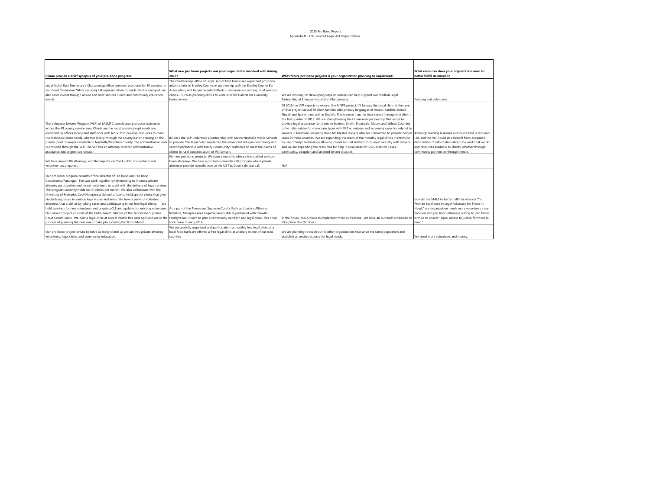#### 2015 Pro Bono Report Appendix D - LSC-Funded Legal Aid Organizations

|                                                                                                                                                                          | What new pro bono projects was your organization involved with during            |                                                                                                                                                      | What resources does your organization need to          |
|--------------------------------------------------------------------------------------------------------------------------------------------------------------------------|----------------------------------------------------------------------------------|------------------------------------------------------------------------------------------------------------------------------------------------------|--------------------------------------------------------|
| Please provide a brief synopsis of your pro bono program.                                                                                                                | 2015?                                                                            | What future pro bono projects is your organization planning to implement?                                                                            | better fulfill its mission?                            |
|                                                                                                                                                                          | The Chattanooga office of Legal Aid of East Tennessee expanded pro bono          |                                                                                                                                                      |                                                        |
| Legal Aid of East Tennessee's Chattanooga office oversees pro bono for 10 counties in                                                                                    | advice clinics in Bradley County, in partnership with the Bradley County Bar     |                                                                                                                                                      |                                                        |
| southeast Tennessee. While securing full-representation for each client is our goal, we                                                                                  | Association, and began targeted efforts to increase will-writing, brief services |                                                                                                                                                      |                                                        |
| also serve clients through advice and brief services clinics and community education                                                                                     | clinics-- such as planning clinics to write wills for Habitat for Humanity       | We are working on developing ways volunteers can help support our Medical Legal                                                                      |                                                        |
| events.                                                                                                                                                                  | homeowners.                                                                      | Partnership at Erlanger Hospital in Chattanooga.                                                                                                     | Funding and volunteers                                 |
|                                                                                                                                                                          |                                                                                  | IN 2016 the VLP expects to expand the MNPS project. IN January the Legal clinic at the core                                                          |                                                        |
|                                                                                                                                                                          |                                                                                  | of that project served 40 client families with primary languages of Arabic, Kurdish, Somali,                                                         |                                                        |
|                                                                                                                                                                          |                                                                                  | Nepali and Spanish ans well as English. This is more than the total served through the clinic in                                                     |                                                        |
|                                                                                                                                                                          |                                                                                  | the last quarter of 2015. WE are strengthening the Urban-rural partnership that exists to                                                            |                                                        |
| The Volunteer lawyers Program (VLP) of LASMTC coordinates pro bono assistance                                                                                            |                                                                                  | provide legal assistance for clients in Sumner, Smith, Trousdale, Macon and Wilson Counties                                                          |                                                        |
| across the 48 county service area. Clients and he most pressing legal needs are                                                                                          |                                                                                  | g the initial intake for many case types with VLP volunteers and screening cases for referral to                                                     |                                                        |
| identified by offices locally and staff work with teh VLP to develop resources to meet                                                                                   |                                                                                  | lawyers in Nashville, including Bone McAllester lawyers who are committed to provide help in Although funding is always a resource that is required, |                                                        |
| the individual client needs, whether locally through the county bar or drawing on the                                                                                    | IN 2015 the VLP undertook a partnership with Metro Nashville Public Schools      | cases in these counties. We are expanding the reach of the monthly legal clinics in Nashville                                                        | LAS and the VLP could also benefit from expanded       |
| greater pool of lawyers available in Nashville/Davidson County. The administrative work                                                                                  | to provide free legal help targeted to the immigrant refugee community and       | by use of Vidyo technology allowing clients in rural settings to to meet virtually with lawyers                                                      | distribution of information about the work that we do  |
| is provided through the VLP. The VLP has an attorney director, administrative                                                                                            | second partnership with Mercy Community Healthcare to meet the needs of          | and we are expanding the resources for help in rural areas for SSI Cessation Cases,                                                                  | and resources available to clients, whether through    |
| assistance and project coordinator.                                                                                                                                      | clients in rural counties south of Williamson.                                   | bankruptcy, adoption and landlord tenant disputes.                                                                                                   | community partners or through media.                   |
|                                                                                                                                                                          | No new pro bono projects. We have a monthly advice clinic staffed with pro       |                                                                                                                                                      |                                                        |
| We have around 80 attorneys, enrolled agents, certified public accountants and                                                                                           | bono attorneys. We have a pro bono calendar call program where private           |                                                                                                                                                      |                                                        |
| volunteer tax preparers.                                                                                                                                                 | attorneys provide consultations at the US Tax Court calendar call.               | N/A                                                                                                                                                  |                                                        |
|                                                                                                                                                                          |                                                                                  |                                                                                                                                                      |                                                        |
| Our pro bono program consists of the Director of Pro Bono and Pro Bono                                                                                                   |                                                                                  |                                                                                                                                                      |                                                        |
| Coordinator/Paralegal. The two work together by attempting to increase private                                                                                           |                                                                                  |                                                                                                                                                      |                                                        |
| attorney participation and recruit volunteers to assist with the delivery of legal services.                                                                             |                                                                                  |                                                                                                                                                      |                                                        |
| The program currently holds six (6) clinics per month. We also collaborate with the                                                                                      |                                                                                  |                                                                                                                                                      |                                                        |
| University of Memphis Cecil Humphreys School of Law to hold special clinics that give                                                                                    |                                                                                  |                                                                                                                                                      |                                                        |
| students exposure to various legal issues and areas. We have a panel of volunteer                                                                                        |                                                                                  |                                                                                                                                                      | In order for MALS to better fulfill its mission "To    |
| attorneys that assist us by taking cases and participating in our free legal clinics.  We                                                                                |                                                                                  |                                                                                                                                                      | Provide Excellence in Legal Advocacy for Those in      |
| hold trainings for new volunteers and ongoing CLE and updates for existing volunteers. As a part of the Tennessee Supreme Court's Faith and Justice Alliances            |                                                                                  |                                                                                                                                                      | Need," our organization needs more volunteers, case    |
| Our current project consists of the Faith-Based Initiative of the Tennessee Supreme                                                                                      | Initiative, Memphis Area Legal Services (MALS) partnered with Idlewild           |                                                                                                                                                      | handlers and pro bono attorneys willing to join forces |
| Court Commission. We held a legal clinic at a local church this past April and are in the Presbyterian Church to plan a community outreach and legal clinic. This clinic |                                                                                  | In the future, MALS plans to implement more outreaches. We have an outreach scheduled to with us to ensure "equal access to justice for those in     |                                                        |
| process of planning the next one to take place during Pro Bono Month.                                                                                                    | took place in early 2016.                                                        | take place this October i                                                                                                                            | need."                                                 |
|                                                                                                                                                                          | We successfully organized and participate in a monthly free legal clinic at a    |                                                                                                                                                      |                                                        |
| Our pro bono project strives to serve as many clients as we can thru private attorney                                                                                    | local food bank. We offered a free legal clinic at a library in one of our rural | We are planning to reach out to other organizations that serve the same population and                                                               |                                                        |
| volunteers, legal clinics and community education                                                                                                                        | counties.                                                                        | establish an onsite resource for legal needs.                                                                                                        | We need more volunteers and money.                     |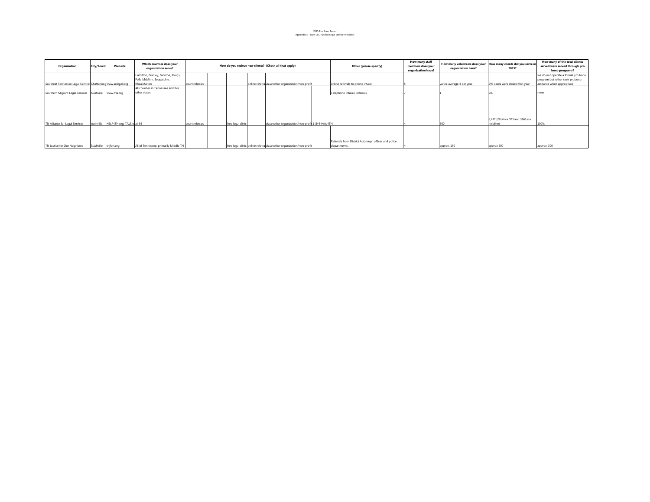2015 Pro Bono Report Appendix E - Non-LSC Funded Legal Service Providers

| <b>Organization:</b>                                         | City/Town: | <b>Website:</b>            | Which counties does your<br>organization serve? |                 | How do you recieve new clients? (Check all that apply) |                   |                                                                      |  | Other (please specify)                                                | How many staff<br>members does your<br>organization have? | organization have?        | How many volunteers does your How many clients did you serve in<br>2015? | How many of the total clients<br>served were served through pro<br>bono programs? |
|--------------------------------------------------------------|------------|----------------------------|-------------------------------------------------|-----------------|--------------------------------------------------------|-------------------|----------------------------------------------------------------------|--|-----------------------------------------------------------------------|-----------------------------------------------------------|---------------------------|--------------------------------------------------------------------------|-----------------------------------------------------------------------------------|
|                                                              |            |                            | Hamilton, Bradley, Monroe, Meigs,               |                 |                                                        |                   |                                                                      |  |                                                                       |                                                           |                           |                                                                          | we do not operate a formal pro bono                                               |
|                                                              |            |                            | Polk, McMinn, Sequatchie,                       |                 |                                                        |                   |                                                                      |  |                                                                       |                                                           |                           |                                                                          | program but rather seek probono                                                   |
| Southeat Tennessee Legal Services Chattanood www.selegal.org |            |                            | Rhea, Marion                                    | court referrals |                                                        |                   | online referra via another organization/non-profit                   |  | online referrals to phone intake                                      |                                                           | varies-average 4 per year | 296 cases were closed that year                                          | assitance when appropriate                                                        |
|                                                              |            |                            | All counties in Tennessee and five              |                 |                                                        |                   |                                                                      |  |                                                                       |                                                           |                           |                                                                          |                                                                                   |
| Southern Migrant Legal Services Nashville www.trla.org       |            |                            | other states                                    |                 |                                                        |                   |                                                                      |  | Telephone intakes, referrals                                          |                                                           |                           | 200                                                                      | none                                                                              |
| TN Alliance for Legal Services                               | nashville  | HELP4TN.org, TALS.o all 95 |                                                 | court referrals |                                                        | free legal clinic | via another organization/non-profil 1-844-Help4TN                    |  |                                                                       |                                                           |                           | 6.477 (2614 via OTJ and 3863 via<br>helpline)                            | 100%                                                                              |
| TN Justice for Our Neighbors                                 |            | Nashville tnjfon.org       | All of Tennessee, primarily Middle TN           |                 |                                                        |                   | free legal clinic online referra via another organization/non-profit |  | Referrals from District Attorneys' offices and police<br>departments. |                                                           | approx. 150               | approx 500                                                               | approx. 300                                                                       |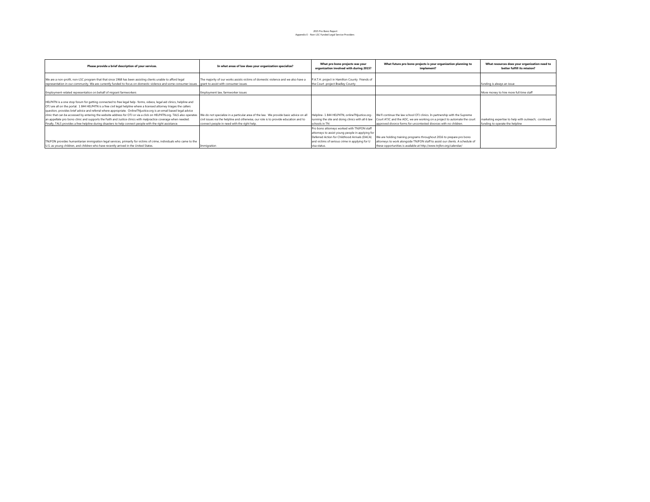### 2015 Pro Bono Report Appendix E - Non-LSC Funded Legal Service Providers

| Please provide a brief description of your services.                                                                                                                                                                                                                                                                                                                                                                                                                                                                                                                                                                                                                                                                        | In what areas of law does your organization specialize?                                                                                                                                                                     | What pro bono projects was your<br>organization involved with during 2015?                                                                                                                                         | What future pro bono projects is your organization planning to<br>implement?                                                                                                                                                 | What resources does your organization need to<br>better fulfill its mission?            |
|-----------------------------------------------------------------------------------------------------------------------------------------------------------------------------------------------------------------------------------------------------------------------------------------------------------------------------------------------------------------------------------------------------------------------------------------------------------------------------------------------------------------------------------------------------------------------------------------------------------------------------------------------------------------------------------------------------------------------------|-----------------------------------------------------------------------------------------------------------------------------------------------------------------------------------------------------------------------------|--------------------------------------------------------------------------------------------------------------------------------------------------------------------------------------------------------------------|------------------------------------------------------------------------------------------------------------------------------------------------------------------------------------------------------------------------------|-----------------------------------------------------------------------------------------|
| We are a non-profit, non-LSC program that that since 1968 has been assisting clients unable to afford legal<br>representation in our community. We are currently funded to focus on domestic violence and some consumer issues arant to assist with consumer issues                                                                                                                                                                                                                                                                                                                                                                                                                                                         | The majority of our works assists victims of domestic violence and we also have a                                                                                                                                           | P.A.T.H. project in Hamilton County Friends of<br>the Court project Bradley County                                                                                                                                 |                                                                                                                                                                                                                              | funding is always an issue                                                              |
| Employment-related representation on behalf of migrant farmworkers                                                                                                                                                                                                                                                                                                                                                                                                                                                                                                                                                                                                                                                          | Employment law, farmworker issues                                                                                                                                                                                           |                                                                                                                                                                                                                    |                                                                                                                                                                                                                              | More money to hire more full time staff                                                 |
| HELP4TN is a one stop forum for getting connected to free legal help- forms, videos, legal aid clinics, helpline and<br>OTJ are all on the portal. 1 844 HELP4TN is a free civil legal helpline where a licensed attorney triages the callers<br>question, provides brief advice and referral where appropriate. OnlineTNjustice.org is an email based legal advice<br>clinic that can be accessed by entering the website address for OTJ or via a click on HELP4TN.org. TALS also operates<br>an appellate pro bono clinic and supports the Faith and Justice clinics with malpractice coverage when needed.<br>Finally, TALS provides a free helpline during disasters to help connect people with the right assistance. | We do not specialize in a particular area of the law. We provide basic advice on all<br>civil issues via the helpline and otherwise, our role is to provide education and to<br>connect people in need with the right help. | Helpline- 1 844 HELP4TN, onlineTNjustice.org-<br>running the site and doing clinics with all 6 law<br>schools in TN                                                                                                | We'll continue the law school OTJ clinics. In partnership with the Supreme<br>Court ATJC and the AOC, we are working on a project to automate the court<br>approved divorce forms for uncontested divorces with no children. | marketing expertise to help with outreach; continued<br>funding to operate the helpline |
| TNJFON provides humanitarian immigration legal services, primarily for victims of crime, individuals who came to the<br>U.S. as young children, and children who have recently arrived in the United States.                                                                                                                                                                                                                                                                                                                                                                                                                                                                                                                | Immigration                                                                                                                                                                                                                 | Pro bono attorneys worked with TNJFON staff<br>attorneys to assist young people in applying for<br>Deferred Action for Childhood Arrivals (DACA)<br>and victims of serious crime in applying for U<br>visa status. | We are holding training programs throughout 2016 to prepare pro bono<br>attorneys to work alongside TNJFON staff to assist our clients. A schedule of<br>these opportunities is available at http://www.tnjfon.org/calendar/ |                                                                                         |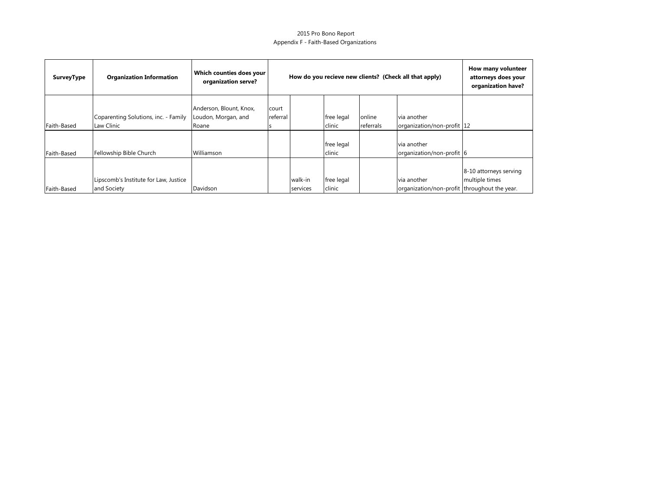### 2015 Pro Bono Report Appendix F - Faith-Based Organizations

| <b>SurveyType</b> | <b>Organization Information</b>                      | Which counties does your<br>organization serve?         |                   | How do you recieve new clients? (Check all that apply) | How many volunteer<br>attorneys does your<br>organization have? |                     |                                                             |                                          |
|-------------------|------------------------------------------------------|---------------------------------------------------------|-------------------|--------------------------------------------------------|-----------------------------------------------------------------|---------------------|-------------------------------------------------------------|------------------------------------------|
| Faith-Based       | Coparenting Solutions, inc. - Family<br>Law Clinic   | Anderson, Blount, Knox,<br>Loudon, Morgan, and<br>Roane | court<br>referral |                                                        | free legal<br>clinic                                            | online<br>referrals | via another<br>organization/non-profit 12                   |                                          |
| Faith-Based       | Fellowship Bible Church                              | Williamson                                              |                   |                                                        | free legal<br>clinic                                            |                     | via another<br>organization/non-profit 6                    |                                          |
| Faith-Based       | Lipscomb's Institute for Law, Justice<br>and Society | Davidson                                                |                   | walk-in<br>services                                    | free legal<br>clinic                                            |                     | via another<br>organization/non-profit throughout the year. | 8-10 attorneys serving<br>multiple times |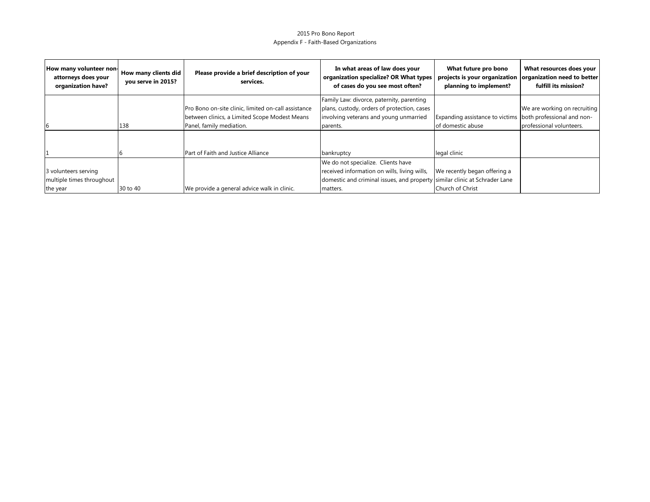### 2015 Pro Bono Report Appendix F - Faith-Based Organizations

| How many volunteer non-<br>attorneys does your<br>organization have? | How many clients did<br>you serve in 2015? | Please provide a brief description of your<br>services. | In what areas of law does your<br>organization specialize? OR What types<br>of cases do you see most often? | What future pro bono<br>projects is your organization organization need to better<br>planning to implement? | What resources does your<br>fulfill its mission? |
|----------------------------------------------------------------------|--------------------------------------------|---------------------------------------------------------|-------------------------------------------------------------------------------------------------------------|-------------------------------------------------------------------------------------------------------------|--------------------------------------------------|
|                                                                      |                                            |                                                         | Family Law: divorce, paternity, parenting                                                                   |                                                                                                             |                                                  |
|                                                                      |                                            | Pro Bono on-site clinic, limited on-call assistance     | plans, custody, orders of protection, cases                                                                 |                                                                                                             | We are working on recruiting                     |
|                                                                      |                                            | between clinics, a Limited Scope Modest Means           | involving veterans and young unmarried                                                                      | Expanding assistance to victims both professional and non-                                                  |                                                  |
|                                                                      | 138                                        | Panel, family mediation.                                | parents.                                                                                                    | of domestic abuse                                                                                           | professional volunteers.                         |
|                                                                      |                                            | Part of Faith and Justice Alliance                      | bankruptcy                                                                                                  | legal clinic                                                                                                |                                                  |
|                                                                      |                                            |                                                         | We do not specialize. Clients have                                                                          |                                                                                                             |                                                  |
| 3 volunteers serving                                                 |                                            |                                                         | received information on wills, living wills,                                                                | We recently began offering a                                                                                |                                                  |
| multiple times throughout                                            |                                            |                                                         | domestic and criminal issues, and property similar clinic at Schrader Lane                                  |                                                                                                             |                                                  |
| the year                                                             | 30 to 40                                   | We provide a general advice walk in clinic.             | matters.                                                                                                    | Church of Christ                                                                                            |                                                  |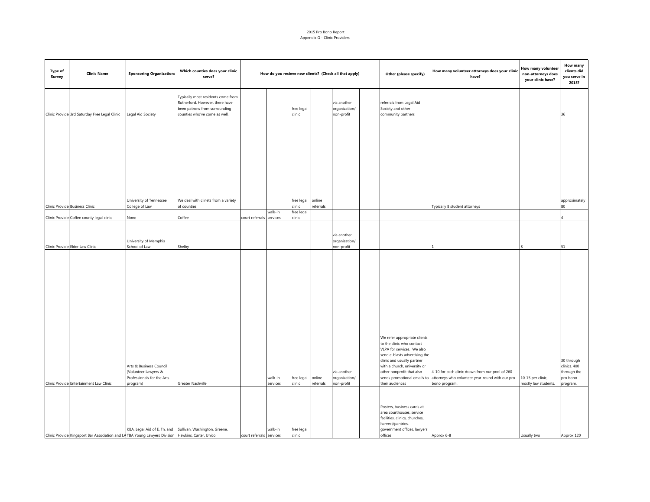#### 2015 Pro Bono Report Appendix G - Clinic Providers

| <b>Type of</b><br>Survey | <b>Clinic Name</b>                                                                                 | <b>Sponsoring Organization:</b>                                                           | Which counties does your clinic<br>serve?                                                                                               | How do you recieve new clients? (Check all that apply) |                     | Other (please specify) | How many volunteer attorneys does your clinic<br>have? | How many volunteer<br>non-attorneys does<br>your clinic have? | How many<br>clients did<br>you serve in<br>2015?                                                                                                                                                                                                                                                    |                                                                                                                     |                                           |                                                                   |
|--------------------------|----------------------------------------------------------------------------------------------------|-------------------------------------------------------------------------------------------|-----------------------------------------------------------------------------------------------------------------------------------------|--------------------------------------------------------|---------------------|------------------------|--------------------------------------------------------|---------------------------------------------------------------|-----------------------------------------------------------------------------------------------------------------------------------------------------------------------------------------------------------------------------------------------------------------------------------------------------|---------------------------------------------------------------------------------------------------------------------|-------------------------------------------|-------------------------------------------------------------------|
|                          | Clinic Provide 3rd Saturday Free Legal Clinic Legal Aid Society                                    |                                                                                           | Typically most residents come from<br>Rutherford. However, there have<br>been patrons from surrounding<br>counties who've come as well. |                                                        |                     | free legal<br>clinic   |                                                        | via another<br>organization/<br>non-profit                    | referrals from Legal Aid<br>Society and other<br>community partners                                                                                                                                                                                                                                 |                                                                                                                     |                                           | 36                                                                |
|                          |                                                                                                    |                                                                                           |                                                                                                                                         |                                                        |                     |                        |                                                        |                                                               |                                                                                                                                                                                                                                                                                                     |                                                                                                                     |                                           |                                                                   |
|                          | Clinic Provide Business Clinic                                                                     | University of Tennessee<br>College of Law                                                 | We deal with clinets from a variety<br>of counties                                                                                      |                                                        |                     | free legal<br>:linic   | online<br>referrals                                    |                                                               |                                                                                                                                                                                                                                                                                                     | Typically 8 student attorneys                                                                                       |                                           | approximately<br>80                                               |
|                          |                                                                                                    |                                                                                           |                                                                                                                                         |                                                        | walk-in             | free legal             |                                                        |                                                               |                                                                                                                                                                                                                                                                                                     |                                                                                                                     |                                           |                                                                   |
|                          | Clinic Provide Coffee county legal clinic                                                          | None                                                                                      | Coffee                                                                                                                                  | court referrals services                               |                     | clinic                 |                                                        |                                                               |                                                                                                                                                                                                                                                                                                     |                                                                                                                     |                                           |                                                                   |
|                          | Clinic Provide Elder Law Clinic                                                                    | University of Memphis<br>School of Law                                                    | Shelby                                                                                                                                  |                                                        |                     |                        |                                                        | via another<br>organization/<br>non-profit                    |                                                                                                                                                                                                                                                                                                     |                                                                                                                     |                                           | 51                                                                |
|                          | Clinic Provide Entertainment Law Clinic                                                            | Arts & Business Council<br>(Volunteer Lawyers &<br>Professionals for the Arts<br>program) | Greater Nashville                                                                                                                       |                                                        | walk-in<br>services | free legal<br>clinic   | online<br>referrals                                    | via another<br>organization/<br>non-profit                    | We refer appropriate clients<br>to the clinic who contact<br>VLPA for services. We also<br>send e-blasts advertising the<br>clinic and usually partner<br>with a church, university or<br>other nonprofit that also<br>sends promotional emails to<br>their audiences<br>Posters, business cards at | 4-10 for each clinic drawn from our pool of 260<br>attorneys who volunteer year-round with our pro<br>bono program. | 10-15 per clinic,<br>mostly law students. | 30 through<br>clinics. 400<br>through the<br>pro bono<br>program. |
|                          | Clinic Provide Kingsport Bar Association and LA TBA Young Lawyers Division Hawkins, Carter, Unicoi |                                                                                           | KBA, Legal Aid of E. Tn, and Sullivan, Washington, Greene,                                                                              | court referrals services                               | walk-in             | free legal<br>clinic   |                                                        |                                                               | area courthouses, service<br>facilities, clinics, churches,<br>harvest/pantries,<br>government offices, lawyers'<br>offices                                                                                                                                                                         | Approx 6-8                                                                                                          | Usually two                               | Approx 120                                                        |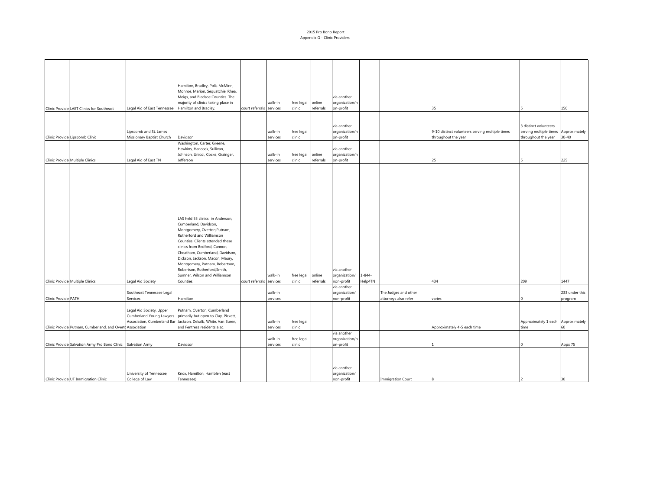#### 2015 Pro Bono Report Appendix G - Clinic Providers

|                                                           |                                                                                     | Hamilton, Bradley, Polk, McMinn,<br>Monroe, Marion, Sequatchie, Rhea,                                                                                                                                                                                                                                                                                                              |                          |                     |                      |                     |                                                           |                        |                          |                                                 |                                      |                |
|-----------------------------------------------------------|-------------------------------------------------------------------------------------|------------------------------------------------------------------------------------------------------------------------------------------------------------------------------------------------------------------------------------------------------------------------------------------------------------------------------------------------------------------------------------|--------------------------|---------------------|----------------------|---------------------|-----------------------------------------------------------|------------------------|--------------------------|-------------------------------------------------|--------------------------------------|----------------|
|                                                           |                                                                                     | Meigs, and Bledsoe Counties. The                                                                                                                                                                                                                                                                                                                                                   |                          |                     |                      |                     | via another                                               |                        |                          |                                                 |                                      |                |
|                                                           |                                                                                     | majority of clinics taking place in                                                                                                                                                                                                                                                                                                                                                |                          | walk-in             | free legal           | online              | organization/n                                            |                        |                          |                                                 |                                      |                |
| Clinic Provide LAET Clinics for Southeast                 | Legal Aid of East Tennessee                                                         | Hamilton and Bradley.                                                                                                                                                                                                                                                                                                                                                              | court referrals services |                     | clinic               | referrals           | on-profit                                                 |                        |                          | 35                                              |                                      | 150            |
|                                                           |                                                                                     |                                                                                                                                                                                                                                                                                                                                                                                    |                          |                     |                      |                     | via another                                               |                        |                          |                                                 | 3 distinct volunteers                |                |
|                                                           | Lipscomb and St. James                                                              |                                                                                                                                                                                                                                                                                                                                                                                    |                          | walk-in             | free legal           |                     | organization/n                                            |                        |                          | 9-10 distinct volunteers serving multiple times | serving multiple times Approximately |                |
| Clinic Provide Lipscomb Clinic                            | Missionary Baptist Church                                                           | Davidson                                                                                                                                                                                                                                                                                                                                                                           |                          | services            | clinic               |                     | on-profit                                                 |                        |                          | throughout the year                             | throughout the year                  | $30 - 40$      |
|                                                           |                                                                                     | Washington, Carter, Greene,<br>Hawkins, Hancock, Sullivan,<br>Johnson, Unicoi, Cocke, Grainger,                                                                                                                                                                                                                                                                                    |                          | walk-in             | free legal           | online              | via another<br>organization/n                             |                        |                          |                                                 |                                      |                |
| Clinic Provide Multiple Clinics                           | Legal Aid of East TN                                                                | Jefferson                                                                                                                                                                                                                                                                                                                                                                          |                          | services            | clinic               | referrals           | on-profit                                                 |                        |                          | 25                                              |                                      | 225            |
| Clinic Provide Multiple Clinics                           | Legal Aid Society                                                                   | LAS held 55 clinics in Anderson.<br>Cumberland, Davidson,<br>Montgomery, Overton, Putnam,<br>Rutherford and Williamson<br>Counties. Clients attended these<br>clinics from Bedford, Cannon,<br>Cheatham, Cumberland, Davidson,<br>Dickson, Jackson, Macon, Maury,<br>Montgomery, Putnam, Robertson,<br>Robertson, Rutherford, Smith,<br>Sumner, Wilson and Williamson<br>Counties. | court referrals services | walk-in             | free legal<br>clinic | online<br>referrals | via another<br>organization/<br>non-profit<br>via another | $1 - 844 -$<br>Help4TN |                          | 434                                             | 209                                  | 1447           |
|                                                           | Southeast Tennessee Legal                                                           |                                                                                                                                                                                                                                                                                                                                                                                    |                          | walk-in             |                      |                     | organization/                                             |                        | The Judges and other     |                                                 |                                      | 233 under this |
| Clinic Provide PATH                                       | Services                                                                            | Hamilton                                                                                                                                                                                                                                                                                                                                                                           |                          | services            |                      |                     | non-profit                                                |                        | attorneys also refer     | varies                                          |                                      | program        |
|                                                           | Legal Aid Society, Upper<br>Cumberland Young Lawyers<br>Association, Cumberland Bar | Putnam, Overton, Cumberland<br>primarily but open to Clay, Pickett,<br>Jackson, Dekalb, White, Van Buren,                                                                                                                                                                                                                                                                          |                          | walk-in             | free legal           |                     |                                                           |                        |                          |                                                 | Approximately 1 each Approximately   |                |
| Clinic Provide Putnam, Cumberland, and Overte Association |                                                                                     | and Fentress residents also.                                                                                                                                                                                                                                                                                                                                                       |                          | services            | clinic               |                     |                                                           |                        |                          | Approximately 4-5 each time                     | time                                 | 60             |
| Clinic Provide Salvation Army Pro Bono Clinic             | <b>Salvation Army</b>                                                               | Davidson                                                                                                                                                                                                                                                                                                                                                                           |                          | walk-in<br>services | free legal<br>clinic |                     | via another<br>organization/n<br>on-profit                |                        |                          |                                                 |                                      | Appx 75        |
| Clinic Provide UT Immigration Clinic                      | University of Tennessee,<br>College of Law                                          | Knox, Hamilton, Hamblen (east<br>Tennessee)                                                                                                                                                                                                                                                                                                                                        |                          |                     |                      |                     | via another<br>organization/<br>non-profit                |                        | <b>Immigration Court</b> |                                                 |                                      | 30             |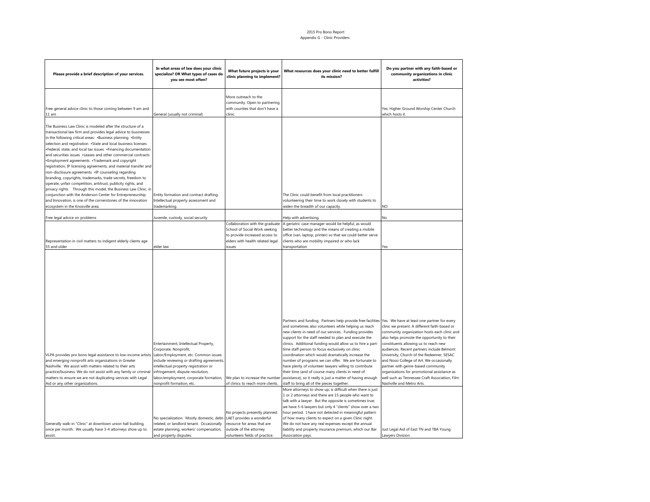#### 2015 Pro Bono Report Appendix G - Clinic Providers

| Please provide a brief description of your services.                                                                                                                                                                                                                                                                                                                                                                                                                                                                                                                                                                                                                                                                                                                                                                                                                                                                                              | In what areas of law does your clinic<br>specialize? OR What types of cases do<br>you see most often?                                                                                                                                                                                                    | What future projects is your<br>clinic planning to implement?                                                                                    | What resources does your clinic need to better fulfill<br>its mission?                                                                                                                                                                                                                                                                                                                                                                                                                                                                                                                                                                                                                                                                                                                                                                                                                                                                                                                                  | Do you partner with any faith-based or<br>community organizations in clinic<br>activities?                                                                                                                                                                                                                                                                                                                                                                                                                                                       |
|---------------------------------------------------------------------------------------------------------------------------------------------------------------------------------------------------------------------------------------------------------------------------------------------------------------------------------------------------------------------------------------------------------------------------------------------------------------------------------------------------------------------------------------------------------------------------------------------------------------------------------------------------------------------------------------------------------------------------------------------------------------------------------------------------------------------------------------------------------------------------------------------------------------------------------------------------|----------------------------------------------------------------------------------------------------------------------------------------------------------------------------------------------------------------------------------------------------------------------------------------------------------|--------------------------------------------------------------------------------------------------------------------------------------------------|---------------------------------------------------------------------------------------------------------------------------------------------------------------------------------------------------------------------------------------------------------------------------------------------------------------------------------------------------------------------------------------------------------------------------------------------------------------------------------------------------------------------------------------------------------------------------------------------------------------------------------------------------------------------------------------------------------------------------------------------------------------------------------------------------------------------------------------------------------------------------------------------------------------------------------------------------------------------------------------------------------|--------------------------------------------------------------------------------------------------------------------------------------------------------------------------------------------------------------------------------------------------------------------------------------------------------------------------------------------------------------------------------------------------------------------------------------------------------------------------------------------------------------------------------------------------|
| Free general advice clinic to those coming between 9 am and<br>11 am                                                                                                                                                                                                                                                                                                                                                                                                                                                                                                                                                                                                                                                                                                                                                                                                                                                                              | General (usually not criminal)                                                                                                                                                                                                                                                                           | More outreach to the<br>community. Open to partnering<br>with counties that don't have a<br>clinic.                                              |                                                                                                                                                                                                                                                                                                                                                                                                                                                                                                                                                                                                                                                                                                                                                                                                                                                                                                                                                                                                         | Yes. Higher Ground Worship Center Church<br>which hosts it.                                                                                                                                                                                                                                                                                                                                                                                                                                                                                      |
| The Business Law Clinic is modeled after the structure of a<br>transactional law firm and provides legal advice to businesses<br>in the following critical areas: . Business planning . Entity<br>selection and registration .State and local business licenses<br>·Federal, state, and local tax issues ·Financing documentation<br>and securities issues .Leases and other commercial contracts<br>*Employment agreements *Trademark and copyright<br>registration, IP licensing agreements, and material transfer and<br>non-disclosure agreements .IP counseling regarding<br>branding, copyrights, trademarks, trade secrets, freedom to<br>operate, unfair competition, antitrust, publicity rights, and<br>privacy rights Through this model, the Business Law Clinic, in<br>conjunction with the Anderson Center for Entrepreneurship<br>and Innovation, is one of the cornerstones of the innovation<br>ecosystem in the Knoxville area. | Entity formation and contract drafting.<br>Intellectual property assessment and<br>trademarking.                                                                                                                                                                                                         |                                                                                                                                                  | The Clinic could benefit from local practitioners<br>volunteering their time to work closely with students to<br>widen the breadth of our capacity.                                                                                                                                                                                                                                                                                                                                                                                                                                                                                                                                                                                                                                                                                                                                                                                                                                                     | NO                                                                                                                                                                                                                                                                                                                                                                                                                                                                                                                                               |
| Free legal advice on problems                                                                                                                                                                                                                                                                                                                                                                                                                                                                                                                                                                                                                                                                                                                                                                                                                                                                                                                     | Juvenile, custody, social security                                                                                                                                                                                                                                                                       |                                                                                                                                                  | Help with advertising.                                                                                                                                                                                                                                                                                                                                                                                                                                                                                                                                                                                                                                                                                                                                                                                                                                                                                                                                                                                  | No                                                                                                                                                                                                                                                                                                                                                                                                                                                                                                                                               |
| Representation in civil matters to indigent elderly clients age<br>55 and older                                                                                                                                                                                                                                                                                                                                                                                                                                                                                                                                                                                                                                                                                                                                                                                                                                                                   | elder law                                                                                                                                                                                                                                                                                                | Collaboration with the graduate<br>School of Social Work seeking<br>to provide increased access to<br>elders with health related legal<br>issues | A geriatric case manager would be helpful, as would<br>better technology and the means of creating a mobile<br>office (van, laptop, printer) so that we could better serve<br>clients who are mobility impaired or who lack<br>transportation                                                                                                                                                                                                                                                                                                                                                                                                                                                                                                                                                                                                                                                                                                                                                           | Yes                                                                                                                                                                                                                                                                                                                                                                                                                                                                                                                                              |
| VLPA provides pro bono legal assistance to low-income artists<br>and emerging nonprofit arts organizations in Greater<br>Nashville. We assist with matters related to their arts<br>practice/business. We do not assist with any family or criminal<br>matters to ensure we are not duplicating services with Legal<br>Aid or any other organizations.                                                                                                                                                                                                                                                                                                                                                                                                                                                                                                                                                                                            | Entertainment, Intellectual Property,<br>Corporate, Nonprofit,<br>Labor/Employment, etc. Common issues<br>include reviewing or drafting agreements,<br>intellectual property registration or<br>infringement, dispute resolution,<br>labor/employment, corporate formation,<br>nonprofit formation, etc. | We plan to increase the number<br>of clinics to reach more clients.<br>No projects presently planned.                                            | Partners and funding. Partners help provide free facilities<br>and sometimes also volunteers while helping us reach<br>new clients in need of our services. Funding provides<br>support for the staff needed to plan and execute the<br>clinics. Additional funding would allow us to hire a part-<br>time staff person to focus exclusively on clinic<br>coordination which would dramatically increase the<br>number of programs we can offer. We are fortunate to<br>have plenty of volunteer lawyers willing to contribute<br>their time (and of course many clients in need of<br>assistance), so it really is just a matter of having enough<br>staff to bring all of the pieces together.<br>More attorneys to show up; is difficult when there is just<br>1 or 2 attorneys and there are 15 people who want to<br>talk with a lawyer. But the opposite is sometimes true;<br>we have 5-6 lawyers but only 4 "clients" show over a two<br>hour period. I have not detected in meaningful pattern | Yes. We have at least one partner for every<br>clinic we present. A different faith-based or<br>community organization hosts each clinic and<br>also helps promote the opportunity to their<br>constituents allowing us to reach new<br>audiences. Recent partners include Belmont<br>University, Church of the Redeemer, SESAC<br>and Nossi College of Art. We occasionally<br>partner with genre-based community<br>organizations for promotional assistance as<br>well such as Tennessee Craft Association, Film<br>Nashville and Metro Arts. |
| Generally walk-in "Clinic" at downtown union hall building,<br>once per month. We usually have 3-4 attorneys show up to<br>assist.                                                                                                                                                                                                                                                                                                                                                                                                                                                                                                                                                                                                                                                                                                                                                                                                                | No specialization. Mostly domestic, debt-<br>related, or landlord tenant. Occasionally<br>estate planning, workers' compensation,<br>and property disputes.                                                                                                                                              | LAET provides a wonderful<br>resource for areas that are<br>outside of the attorney<br>volunteers fields of practice.                            | of how many clients to expect on a given Clinic night.<br>We do not have any real expenses except the annual<br>liability and property insurance premium, which our Bar<br>Association pays.                                                                                                                                                                                                                                                                                                                                                                                                                                                                                                                                                                                                                                                                                                                                                                                                            | Just Legal Aid of East TN and TBA Young<br>Lawyers Division.                                                                                                                                                                                                                                                                                                                                                                                                                                                                                     |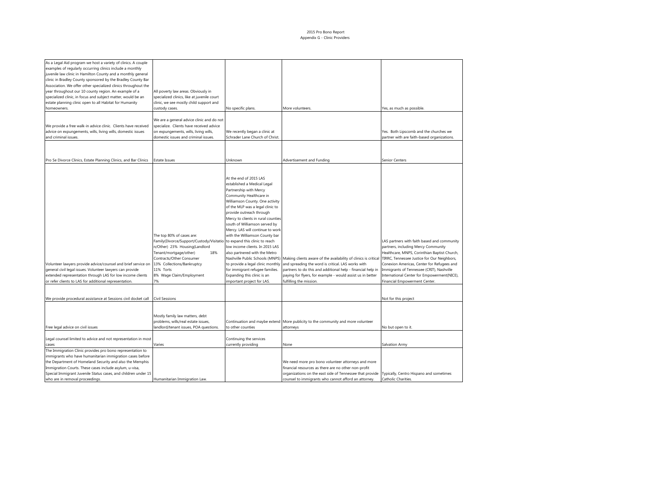| As a Legal Aid program we host a variety of clinics. A couple          |                                                           |                                    |                                                                                                 |                                              |
|------------------------------------------------------------------------|-----------------------------------------------------------|------------------------------------|-------------------------------------------------------------------------------------------------|----------------------------------------------|
| examples of regularly occurring clinics include a monthly              |                                                           |                                    |                                                                                                 |                                              |
| juvenile law clinic in Hamilton County and a monthly general           |                                                           |                                    |                                                                                                 |                                              |
| clinic in Bradley County sponsored by the Bradley County Bar           |                                                           |                                    |                                                                                                 |                                              |
| Association. We offer other specialized clinics throughout the         |                                                           |                                    |                                                                                                 |                                              |
| year throughout our 10 county region. An example of a                  | All poverty law areas. Obviously in                       |                                    |                                                                                                 |                                              |
| specialized clinic, in focus and subject matter, would be an           | specialized clinics, like at juvenile court               |                                    |                                                                                                 |                                              |
| estate planning clinic open to all Habitat for Humanity<br>homeowners. | clinic, we see mostly child support and<br>custody cases. | No specific plans.                 |                                                                                                 |                                              |
|                                                                        |                                                           |                                    | More volunteers.                                                                                | Yes, as much as possible.                    |
|                                                                        | We are a general advice clinic and do not                 |                                    |                                                                                                 |                                              |
| We provide a free walk-in advice clinic. Clients have received         | specialize. Clients have received advice                  |                                    |                                                                                                 |                                              |
| advice on expungements, wills, living wills, domestic issues           | on expungements, wills, living wills,                     | We recently began a clinic at      |                                                                                                 | Yes. Both Lipscomb and the churches we       |
| and criminal issues.                                                   | domestic issues and criminal issues.                      | Schrader Lane Church of Christ.    |                                                                                                 | partner with are faith-based organizations.  |
|                                                                        |                                                           |                                    |                                                                                                 |                                              |
|                                                                        |                                                           |                                    |                                                                                                 |                                              |
|                                                                        |                                                           |                                    |                                                                                                 |                                              |
| Pro Se Divorce Clinics, Estate Planning Clinics, and Bar Clinics       | <b>Estate Issues</b>                                      | Unknown                            | Advertisement and Funding                                                                       | Senior Centers                               |
|                                                                        |                                                           |                                    |                                                                                                 |                                              |
|                                                                        |                                                           |                                    |                                                                                                 |                                              |
|                                                                        |                                                           | At the end of 2015 LAS             |                                                                                                 |                                              |
|                                                                        |                                                           | established a Medical Legal        |                                                                                                 |                                              |
|                                                                        |                                                           | Partnership with Mercy             |                                                                                                 |                                              |
|                                                                        |                                                           | Community Healthcare in            |                                                                                                 |                                              |
|                                                                        |                                                           | Williamson County. One activity    |                                                                                                 |                                              |
|                                                                        |                                                           | of the MLP was a legal clinic to   |                                                                                                 |                                              |
|                                                                        |                                                           | provide outreach through           |                                                                                                 |                                              |
|                                                                        |                                                           | Mercy to clients in rural counties |                                                                                                 |                                              |
|                                                                        |                                                           |                                    |                                                                                                 |                                              |
|                                                                        |                                                           | south of Williamson served by      |                                                                                                 |                                              |
|                                                                        |                                                           | Mercy. LAS will continue to work   |                                                                                                 |                                              |
|                                                                        | The top 80% of cases are:                                 | with the Williamson County bar     |                                                                                                 |                                              |
|                                                                        | Family(Divorce/Support/Custody/Visitatio                  | to expand this clinic to reach     |                                                                                                 | LAS partners with faith based and community  |
|                                                                        | n/Other) 23% Housing(Landlord                             | low income clients. In 2015 LAS    |                                                                                                 | partners, including Mercy Community          |
|                                                                        | Tenant/mortgage/other)<br>18%                             | also partnered with the Metro      |                                                                                                 | Healthcare, MNPS, Corinthian Baptist Church, |
|                                                                        | Contracts/Other Consumer                                  |                                    | Nashville Public Schools (MNPS) Making clients aware of the availability of clinics is critical | TIRRC, Tennessee Justice for Our Neighbors,  |
| Volunteer lawyers provide advice/counsel and brief service on          | 13% Collections/Bankruptcy                                | to provide a legal clinic monthly  | and spreading the word is critical. LAS works with                                              | Conexion Americas, Center for Refugees and   |
| general civil legal issues. Volunteer lawyers can provide              | 11% Torts                                                 | for immigrant refugee families.    | partners to do this and additional help - financial help in                                     | Immigrants of Tennessee (CRIT), Nashville    |
| extended representation through LAS for low income clients             | 8% Wage Claim/Employment                                  | Expanding this clinic is an        | paying for flyers, for example - would assist us in better                                      | International Center for Empowerment(NICE),  |
| or refer clients to LAS for additional representation.                 | 7%                                                        | important project for LAS.         | fulfilling the mission.                                                                         | Financial Empowerment Center.                |
|                                                                        |                                                           |                                    |                                                                                                 |                                              |
| We provide procedural assistance at Sessions civil docket call         | <b>Civil Sessions</b>                                     |                                    |                                                                                                 | Not for this project                         |
|                                                                        |                                                           |                                    |                                                                                                 |                                              |
|                                                                        |                                                           |                                    |                                                                                                 |                                              |
|                                                                        | Mostly family law matters, debt                           |                                    |                                                                                                 |                                              |
|                                                                        | problems, wills/real estate issues,                       |                                    | Continuation and maybe extend More publicity to the community and more volunteer                |                                              |
| Free legal advice on civil issues                                      | landlord/tenant issues, POA questions.                    | to other counties                  | attorneys                                                                                       | No but open to it.                           |
|                                                                        |                                                           |                                    |                                                                                                 |                                              |
| Legal counsel limited to advice and not representation in most         |                                                           | Continuing the services            |                                                                                                 |                                              |
| cases                                                                  | Varies                                                    | currently providing                | None                                                                                            | Salvation Army                               |
| The Immigration Clinic provides pro bono representation to             |                                                           |                                    |                                                                                                 |                                              |
| immigrants who have humanitarian immigration cases before              |                                                           |                                    |                                                                                                 |                                              |
| the Department of Homeland Security and also the Memphis               |                                                           |                                    | We need more pro bono volunteer attorneys and more                                              |                                              |
| Immigration Courts. These cases include asylum, u-visa,                |                                                           |                                    | financial resources as there are no other non-profit                                            |                                              |
| Special Immigrant Juvenile Status cases, and children under 15         |                                                           |                                    | organizations on the east side of Tennessee that provide                                        | Typically, Centro Hispano and sometimes      |
| who are in removal proceedings.                                        | Humanitarian Immigration Law.                             |                                    | counsel to immigrants who cannot afford an attorney.                                            | Catholic Charities.                          |
|                                                                        |                                                           |                                    |                                                                                                 |                                              |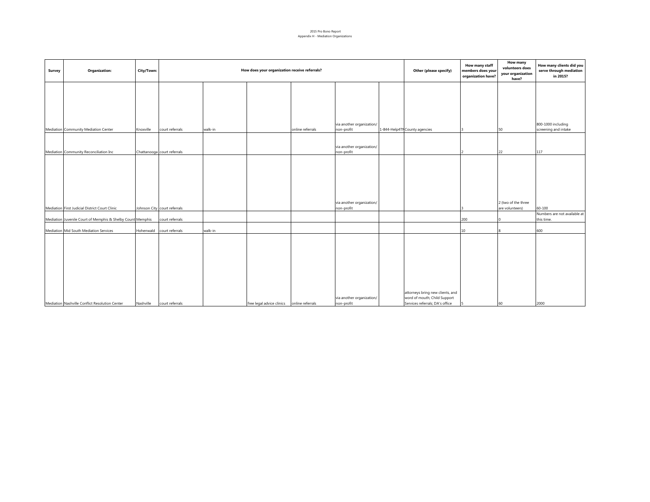#### 2015 Pro Bono Report Appendix H - Mediation Organizations

| Survey | Organization:                                               | City/Town: | How does your organization receive referrals? |         |                                            |                  |                                         |  | Other (please specify)           | How many staff<br>members does your<br>organization have? | How many<br>volunteers does<br>your organization<br>have? | How many clients did you<br>serve through mediation<br>in 2015? |
|--------|-------------------------------------------------------------|------------|-----------------------------------------------|---------|--------------------------------------------|------------------|-----------------------------------------|--|----------------------------------|-----------------------------------------------------------|-----------------------------------------------------------|-----------------------------------------------------------------|
|        |                                                             |            |                                               |         |                                            |                  |                                         |  |                                  |                                                           |                                                           |                                                                 |
|        |                                                             |            |                                               |         |                                            |                  |                                         |  |                                  |                                                           |                                                           |                                                                 |
|        |                                                             |            |                                               |         |                                            |                  |                                         |  |                                  |                                                           |                                                           |                                                                 |
|        |                                                             |            |                                               |         |                                            |                  |                                         |  |                                  |                                                           |                                                           |                                                                 |
|        |                                                             |            |                                               |         |                                            |                  | via another organization/               |  |                                  |                                                           |                                                           | 800-1000 including                                              |
|        | Mediation Community Mediation Center<br>Knoxville           |            | court referrals                               | walk-in |                                            | online referrals | non-profit                              |  | 1-844-Help4TN County agencies    |                                                           | 50                                                        | screening and intake                                            |
|        |                                                             |            |                                               |         |                                            |                  |                                         |  |                                  |                                                           |                                                           |                                                                 |
|        | Mediation Community Reconciliation Inc                      |            | Chattanooga court referrals                   |         |                                            |                  | via another organization/<br>non-profit |  |                                  |                                                           | 22                                                        | 117                                                             |
|        |                                                             |            |                                               |         |                                            |                  |                                         |  |                                  |                                                           |                                                           |                                                                 |
|        |                                                             |            |                                               |         |                                            |                  |                                         |  |                                  |                                                           |                                                           |                                                                 |
|        |                                                             |            |                                               |         |                                            |                  |                                         |  |                                  |                                                           |                                                           |                                                                 |
|        |                                                             |            |                                               |         |                                            |                  |                                         |  |                                  |                                                           |                                                           |                                                                 |
|        |                                                             |            |                                               |         |                                            |                  |                                         |  |                                  |                                                           |                                                           |                                                                 |
|        |                                                             |            |                                               |         |                                            |                  | via another organization/               |  |                                  |                                                           | 2 (two of the three                                       |                                                                 |
|        | Mediation First Judicial District Court Clinic              |            | Johnson City court referrals                  |         |                                            |                  | non-profit                              |  |                                  |                                                           | are volunteers)                                           | 60-100                                                          |
|        | Mediation Juvenile Court of Memphis & Shelby Count Memphis  |            | court referrals                               |         |                                            |                  |                                         |  |                                  | 200                                                       |                                                           | Numbers are not available at<br>this time.                      |
|        |                                                             |            |                                               |         |                                            |                  |                                         |  |                                  |                                                           |                                                           |                                                                 |
|        | Mediation Mid South Mediation Services                      |            | Hohenwald court referrals                     | walk-in |                                            |                  |                                         |  |                                  | 10                                                        |                                                           | 600                                                             |
|        |                                                             |            |                                               |         |                                            |                  |                                         |  |                                  |                                                           |                                                           |                                                                 |
|        |                                                             |            |                                               |         |                                            |                  |                                         |  |                                  |                                                           |                                                           |                                                                 |
|        |                                                             |            |                                               |         |                                            |                  |                                         |  |                                  |                                                           |                                                           |                                                                 |
|        |                                                             |            |                                               |         |                                            |                  |                                         |  |                                  |                                                           |                                                           |                                                                 |
|        |                                                             |            |                                               |         |                                            |                  |                                         |  |                                  |                                                           |                                                           |                                                                 |
|        |                                                             |            |                                               |         |                                            |                  |                                         |  |                                  |                                                           |                                                           |                                                                 |
|        |                                                             |            |                                               |         |                                            |                  |                                         |  | attorneys bring new clients, and |                                                           |                                                           |                                                                 |
|        |                                                             |            |                                               |         |                                            |                  | via another organization/               |  | word of mouth; Child Support     |                                                           |                                                           |                                                                 |
|        | Mediation Nashville Conflict Resolution Center<br>Nashville |            | court referrals                               |         | free legal advice clinics online referrals |                  | non-profit                              |  | Services referrals; DA's office  | 5                                                         | 60                                                        | 2000                                                            |